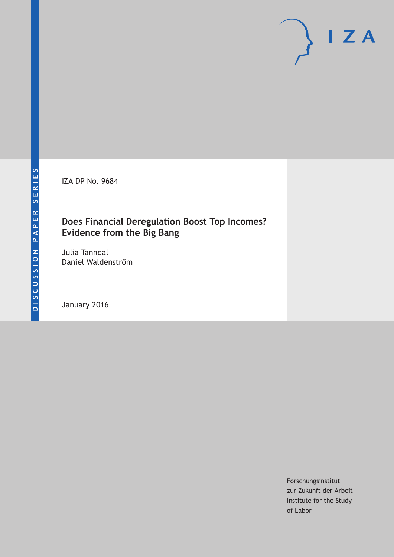IZA DP No. 9684

# **Does Financial Deregulation Boost Top Incomes? Evidence from the Big Bang**

Julia Tanndal Daniel Waldenström

January 2016

Forschungsinstitut zur Zukunft der Arbeit Institute for the Study of Labor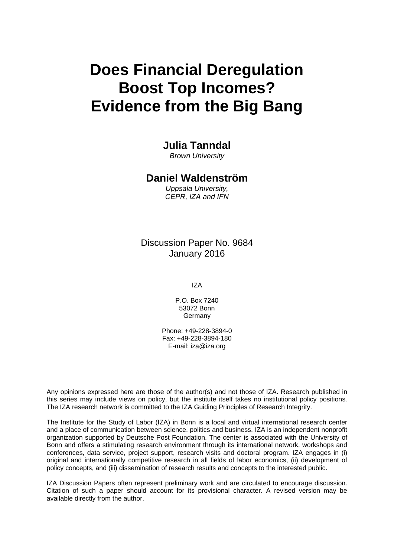# **Does Financial Deregulation Boost Top Incomes? Evidence from the Big Bang**

# **Julia Tanndal**

*Brown University* 

## **Daniel Waldenström**

*Uppsala University, CEPR, IZA and IFN* 

# Discussion Paper No. 9684 January 2016

IZA

P.O. Box 7240 53072 Bonn **Germany** 

Phone: +49-228-3894-0 Fax: +49-228-3894-180 E-mail: iza@iza.org

Any opinions expressed here are those of the author(s) and not those of IZA. Research published in this series may include views on policy, but the institute itself takes no institutional policy positions. The IZA research network is committed to the IZA Guiding Principles of Research Integrity.

The Institute for the Study of Labor (IZA) in Bonn is a local and virtual international research center and a place of communication between science, politics and business. IZA is an independent nonprofit organization supported by Deutsche Post Foundation. The center is associated with the University of Bonn and offers a stimulating research environment through its international network, workshops and conferences, data service, project support, research visits and doctoral program. IZA engages in (i) original and internationally competitive research in all fields of labor economics, (ii) development of policy concepts, and (iii) dissemination of research results and concepts to the interested public.

IZA Discussion Papers often represent preliminary work and are circulated to encourage discussion. Citation of such a paper should account for its provisional character. A revised version may be available directly from the author.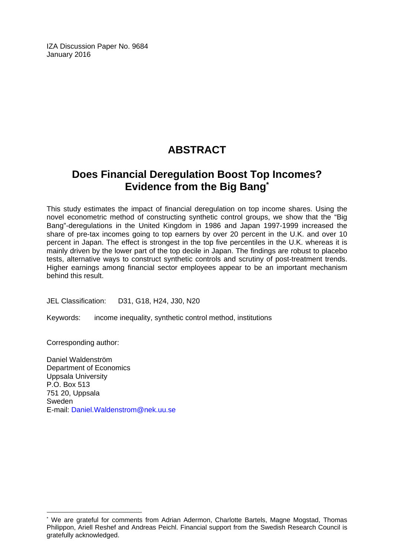IZA Discussion Paper No. 9684 January 2016

# **ABSTRACT**

# **Does Financial Deregulation Boost Top Incomes? Evidence from the Big Bang\***

This study estimates the impact of financial deregulation on top income shares. Using the novel econometric method of constructing synthetic control groups, we show that the "Big Bang"-deregulations in the United Kingdom in 1986 and Japan 1997-1999 increased the share of pre-tax incomes going to top earners by over 20 percent in the U.K. and over 10 percent in Japan. The effect is strongest in the top five percentiles in the U.K. whereas it is mainly driven by the lower part of the top decile in Japan. The findings are robust to placebo tests, alternative ways to construct synthetic controls and scrutiny of post-treatment trends. Higher earnings among financial sector employees appear to be an important mechanism behind this result.

JEL Classification: D31, G18, H24, J30, N20

Keywords: income inequality, synthetic control method, institutions

Corresponding author:

 $\overline{\phantom{a}}$ 

Daniel Waldenström Department of Economics Uppsala University P.O. Box 513 751 20, Uppsala Sweden E-mail: Daniel.Waldenstrom@nek.uu.se

<sup>\*</sup> We are grateful for comments from Adrian Adermon, Charlotte Bartels, Magne Mogstad, Thomas Philippon, Ariell Reshef and Andreas Peichl. Financial support from the Swedish Research Council is gratefully acknowledged.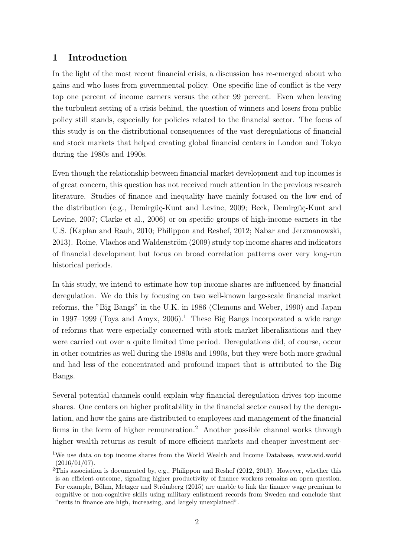# 1 Introduction

In the light of the most recent financial crisis, a discussion has re-emerged about who gains and who loses from governmental policy. One specific line of conflict is the very top one percent of income earners versus the other 99 percent. Even when leaving the turbulent setting of a crisis behind, the question of winners and losers from public policy still stands, especially for policies related to the financial sector. The focus of this study is on the distributional consequences of the vast deregulations of financial and stock markets that helped creating global financial centers in London and Tokyo during the 1980s and 1990s.

Even though the relationship between financial market development and top incomes is of great concern, this question has not received much attention in the previous research literature. Studies of finance and inequality have mainly focused on the low end of the distribution (e.g., Demirgüç-Kunt and Levine, 2009; Beck, Demirgüç-Kunt and Levine, 2007; Clarke et al., 2006) or on specific groups of high-income earners in the U.S. (Kaplan and Rauh, 2010; Philippon and Reshef, 2012; Nabar and Jerzmanowski, 2013). Roine, Vlachos and Waldenström (2009) study top income shares and indicators of financial development but focus on broad correlation patterns over very long-run historical periods.

In this study, we intend to estimate how top income shares are influenced by financial deregulation. We do this by focusing on two well-known large-scale financial market reforms, the "Big Bangs" in the U.K. in 1986 (Clemons and Weber, 1990) and Japan in 1997–1999 (Toya and Amyx, 2006).<sup>1</sup> These Big Bangs incorporated a wide range of reforms that were especially concerned with stock market liberalizations and they were carried out over a quite limited time period. Deregulations did, of course, occur in other countries as well during the 1980s and 1990s, but they were both more gradual and had less of the concentrated and profound impact that is attributed to the Big Bangs.

Several potential channels could explain why financial deregulation drives top income shares. One centers on higher profitability in the financial sector caused by the deregulation, and how the gains are distributed to employees and management of the financial firms in the form of higher remuneration.<sup>2</sup> Another possible channel works through higher wealth returns as result of more efficient markets and cheaper investment ser-

<sup>&</sup>lt;sup>1</sup>We use data on top income shares from the World Wealth and Income Database, www.wid.world  $(2016/01/07)$ .

 $2$ This association is documented by, e.g., Philippon and Reshef (2012, 2013). However, whether this is an efficient outcome, signaling higher productivity of finance workers remains an open question. For example, Böhm, Metzger and Strömberg (2015) are unable to link the finance wage premium to cognitive or non-cognitive skills using military enlistment records from Sweden and conclude that "rents in finance are high, increasing, and largely unexplained".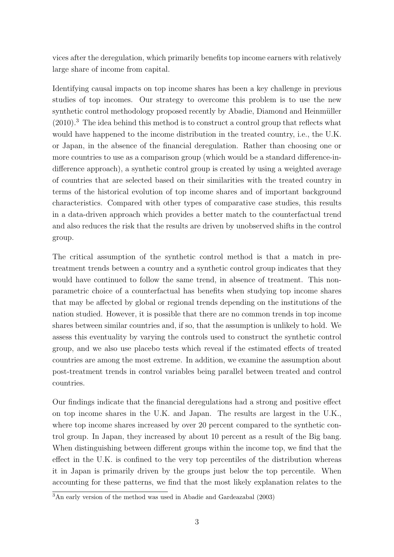vices after the deregulation, which primarily benefits top income earners with relatively large share of income from capital.

Identifying causal impacts on top income shares has been a key challenge in previous studies of top incomes. Our strategy to overcome this problem is to use the new synthetic control methodology proposed recently by Abadie, Diamond and Heinmüller  $(2010).<sup>3</sup>$  The idea behind this method is to construct a control group that reflects what would have happened to the income distribution in the treated country, i.e., the U.K. or Japan, in the absence of the financial deregulation. Rather than choosing one or more countries to use as a comparison group (which would be a standard difference-indifference approach), a synthetic control group is created by using a weighted average of countries that are selected based on their similarities with the treated country in terms of the historical evolution of top income shares and of important background characteristics. Compared with other types of comparative case studies, this results in a data-driven approach which provides a better match to the counterfactual trend and also reduces the risk that the results are driven by unobserved shifts in the control group.

The critical assumption of the synthetic control method is that a match in pretreatment trends between a country and a synthetic control group indicates that they would have continued to follow the same trend, in absence of treatment. This nonparametric choice of a counterfactual has benefits when studying top income shares that may be affected by global or regional trends depending on the institutions of the nation studied. However, it is possible that there are no common trends in top income shares between similar countries and, if so, that the assumption is unlikely to hold. We assess this eventuality by varying the controls used to construct the synthetic control group, and we also use placebo tests which reveal if the estimated effects of treated countries are among the most extreme. In addition, we examine the assumption about post-treatment trends in control variables being parallel between treated and control countries.

Our findings indicate that the financial deregulations had a strong and positive effect on top income shares in the U.K. and Japan. The results are largest in the U.K., where top income shares increased by over 20 percent compared to the synthetic control group. In Japan, they increased by about 10 percent as a result of the Big bang. When distinguishing between different groups within the income top, we find that the effect in the U.K. is confined to the very top percentiles of the distribution whereas it in Japan is primarily driven by the groups just below the top percentile. When accounting for these patterns, we find that the most likely explanation relates to the

 $\sqrt[3]{\text{An early version of the method was used in Abadic and Gardeazabal}$  (2003)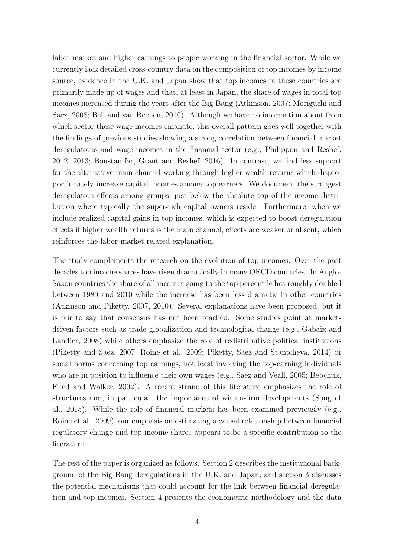labor market and higher earnings to people working in the financial sector. While we currently lack detailed cross-country data on the composition of top incomes by income source, evidence in the U.K. and Japan show that top incomes in these countries are primarily made up of wages and that, at least in Japan, the share of wages in total top incomes increased during the years after the Big Bang (Atkinson, 2007; Moriguchi and Saez, 2008; Bell and van Reenen, 2010). Although we have no information about from which sector these wage incomes emanate, this overall pattern goes well together with the findings of previous studies showing a strong correlation between financial market deregulations and wage incomes in the financial sector (e.g., Philippon and Reshef, 2012, 2013; Boustanifar, Grant and Reshef, 2016). In contrast, we find less support for the alternative main channel working through higher wealth returns which disproportionately increase capital incomes among top earners. We document the strongest deregulation effects among groups, just below the absolute top of the income distribution where typically the super-rich capital owners reside. Furthermore, when we include realized capital gains in top incomes, which is expected to boost deregulation effects if higher wealth returns is the main channel, effects are weaker or absent, which reinforces the labor-market related explanation.

The study complements the research on the evolution of top incomes. Over the past decades top income shares have risen dramatically in many OECD countries. In Anglo-Saxon countries the share of all incomes going to the top percentile has roughly doubled between 1980 and 2010 while the increase has been less dramatic in other countries (Atkinson and Piketty, 2007, 2010). Several explanations have been proposed, but it is fair to say that consensus has not been reached. Some studies point at marketdriven factors such as trade globalization and technological change (e.g., Gabaix and Landier, 2008) while others emphasize the role of redistributive political institutions (Piketty and Saez, 2007; Roine et al., 2009; Piketty, Saez and Stantcheva, 2014) or social norms concerning top earnings, not least involving the top-earning individuals who are in position to influence their own wages (e.g., Saez and Veall, 2005; Bebchuk, Fried and Walker, 2002). A recent strand of this literature emphasizes the role of structures and, in particular, the importance of within-firm developments (Song et al., 2015). While the role of financial markets has been examined previously (e.g., Roine et al., 2009), our emphasis on estimating a causal relationship between financial regulatory change and top income shares appears to be a specific contribution to the literature.

The rest of the paper is organized as follows. Section 2 describes the institutional background of the Big Bang deregulations in the U.K. and Japan, and section 3 discusses the potential mechanisms that could account for the link between financial deregulation and top incomes. Section 4 presents the econometric methodology and the data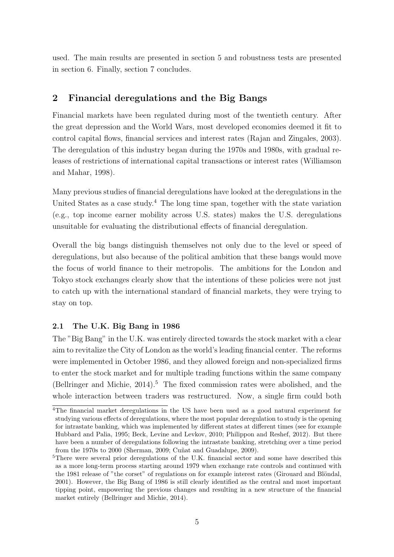used. The main results are presented in section 5 and robustness tests are presented in section 6. Finally, section 7 concludes.

## 2 Financial deregulations and the Big Bangs

Financial markets have been regulated during most of the twentieth century. After the great depression and the World Wars, most developed economies deemed it fit to control capital flows, financial services and interest rates (Rajan and Zingales, 2003). The deregulation of this industry began during the 1970s and 1980s, with gradual releases of restrictions of international capital transactions or interest rates (Williamson and Mahar, 1998).

Many previous studies of financial deregulations have looked at the deregulations in the United States as a case study.<sup>4</sup> The long time span, together with the state variation (e.g., top income earner mobility across U.S. states) makes the U.S. deregulations unsuitable for evaluating the distributional effects of financial deregulation.

Overall the big bangs distinguish themselves not only due to the level or speed of deregulations, but also because of the political ambition that these bangs would move the focus of world finance to their metropolis. The ambitions for the London and Tokyo stock exchanges clearly show that the intentions of these policies were not just to catch up with the international standard of financial markets, they were trying to stay on top.

#### 2.1 The U.K. Big Bang in 1986

The "Big Bang" in the U.K. was entirely directed towards the stock market with a clear aim to revitalize the City of London as the world's leading financial center. The reforms were implemented in October 1986, and they allowed foreign and non-specialized firms to enter the stock market and for multiple trading functions within the same company (Bellringer and Michie,  $2014$ ).<sup>5</sup> The fixed commission rates were abolished, and the whole interaction between traders was restructured. Now, a single firm could both

<sup>4</sup>The financial market deregulations in the US have been used as a good natural experiment for studying various effects of deregulations, where the most popular deregulation to study is the opening for intrastate banking, which was implemented by different states at different times (see for example Hubbard and Palia, 1995; Beck, Levine and Levkov, 2010; Philippon and Reshef, 2012). But there have been a number of deregulations following the intrastate banking, stretching over a time period from the 1970s to 2000 (Sherman, 2009; Cuñat and Guadalupe, 2009).

<sup>&</sup>lt;sup>5</sup>There were several prior deregulations of the U.K. financial sector and some have described this as a more long-term process starting around 1979 when exchange rate controls and continued with the 1981 release of "the corset" of regulations on for example interest rates (Girouard and Blöndal, 2001). However, the Big Bang of 1986 is still clearly identified as the central and most important tipping point, empowering the previous changes and resulting in a new structure of the financial market entirely (Bellringer and Michie, 2014).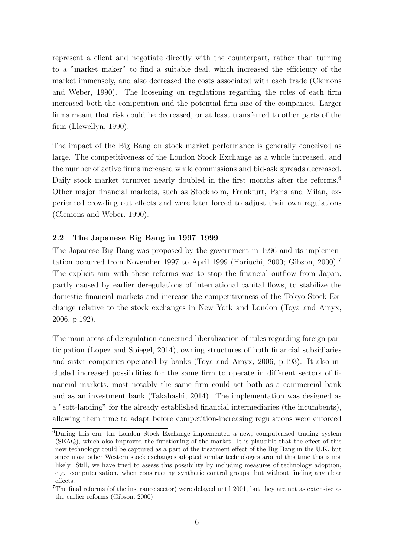represent a client and negotiate directly with the counterpart, rather than turning to a "market maker" to find a suitable deal, which increased the efficiency of the market immensely, and also decreased the costs associated with each trade (Clemons and Weber, 1990). The loosening on regulations regarding the roles of each firm increased both the competition and the potential firm size of the companies. Larger firms meant that risk could be decreased, or at least transferred to other parts of the firm (Llewellyn, 1990).

The impact of the Big Bang on stock market performance is generally conceived as large. The competitiveness of the London Stock Exchange as a whole increased, and the number of active firms increased while commissions and bid-ask spreads decreased. Daily stock market turnover nearly doubled in the first months after the reforms.<sup>6</sup> Other major financial markets, such as Stockholm, Frankfurt, Paris and Milan, experienced crowding out effects and were later forced to adjust their own regulations (Clemons and Weber, 1990).

#### 2.2 The Japanese Big Bang in 1997–1999

The Japanese Big Bang was proposed by the government in 1996 and its implementation occurred from November 1997 to April 1999 (Horiuchi, 2000; Gibson, 2000).<sup>7</sup> The explicit aim with these reforms was to stop the financial outflow from Japan, partly caused by earlier deregulations of international capital flows, to stabilize the domestic financial markets and increase the competitiveness of the Tokyo Stock Exchange relative to the stock exchanges in New York and London (Toya and Amyx, 2006, p.192).

The main areas of deregulation concerned liberalization of rules regarding foreign participation (Lopez and Spiegel, 2014), owning structures of both financial subsidiaries and sister companies operated by banks (Toya and Amyx, 2006, p.193). It also included increased possibilities for the same firm to operate in different sectors of financial markets, most notably the same firm could act both as a commercial bank and as an investment bank (Takahashi, 2014). The implementation was designed as a "soft-landing" for the already established financial intermediaries (the incumbents), allowing them time to adapt before competition-increasing regulations were enforced

<sup>6</sup>During this era, the London Stock Exchange implemented a new, computerized trading system (SEAQ), which also improved the functioning of the market. It is plausible that the effect of this new technology could be captured as a part of the treatment effect of the Big Bang in the U.K. but since most other Western stock exchanges adopted similar technologies around this time this is not likely. Still, we have tried to assess this possibility by including measures of technology adoption, e.g., computerization, when constructing synthetic control groups, but without finding any clear effects.

<sup>7</sup>The final reforms (of the insurance sector) were delayed until 2001, but they are not as extensive as the earlier reforms (Gibson, 2000)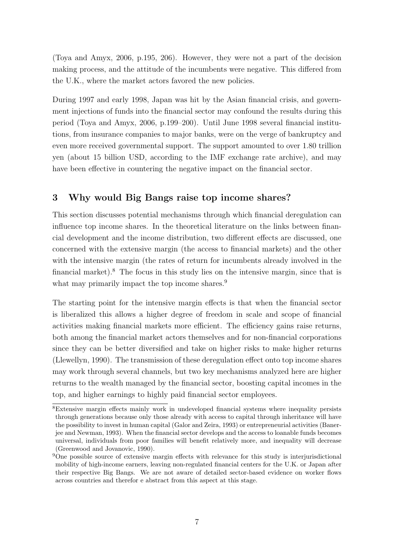(Toya and Amyx, 2006, p.195, 206). However, they were not a part of the decision making process, and the attitude of the incumbents were negative. This differed from the U.K., where the market actors favored the new policies.

During 1997 and early 1998, Japan was hit by the Asian financial crisis, and government injections of funds into the financial sector may confound the results during this period (Toya and Amyx, 2006, p.199–200). Until June 1998 several financial institutions, from insurance companies to major banks, were on the verge of bankruptcy and even more received governmental support. The support amounted to over 1.80 trillion yen (about 15 billion USD, according to the IMF exchange rate archive), and may have been effective in countering the negative impact on the financial sector.

## 3 Why would Big Bangs raise top income shares?

This section discusses potential mechanisms through which financial deregulation can influence top income shares. In the theoretical literature on the links between financial development and the income distribution, two different effects are discussed, one concerned with the extensive margin (the access to financial markets) and the other with the intensive margin (the rates of return for incumbents already involved in the financial market).<sup>8</sup> The focus in this study lies on the intensive margin, since that is what may primarily impact the top income shares.<sup>9</sup>

The starting point for the intensive margin effects is that when the financial sector is liberalized this allows a higher degree of freedom in scale and scope of financial activities making financial markets more efficient. The efficiency gains raise returns, both among the financial market actors themselves and for non-financial corporations since they can be better diversified and take on higher risks to make higher returns (Llewellyn, 1990). The transmission of these deregulation effect onto top income shares may work through several channels, but two key mechanisms analyzed here are higher returns to the wealth managed by the financial sector, boosting capital incomes in the top, and higher earnings to highly paid financial sector employees.

<sup>8</sup>Extensive margin effects mainly work in undeveloped financial systems where inequality persists through generations because only those already with access to capital through inheritance will have the possibility to invest in human capital (Galor and Zeira, 1993) or entrepreneurial activities (Banerjee and Newman, 1993). When the financial sector develops and the access to loanable funds becomes universal, individuals from poor families will benefit relatively more, and inequality will decrease (Greenwood and Jovanovic, 1990).

 $9^9$ One possible source of extensive margin effects with relevance for this study is interjurisdictional mobility of high-income earners, leaving non-regulated financial centers for the U.K. or Japan after their respective Big Bangs. We are not aware of detailed sector-based evidence on worker flows across countries and therefor e abstract from this aspect at this stage.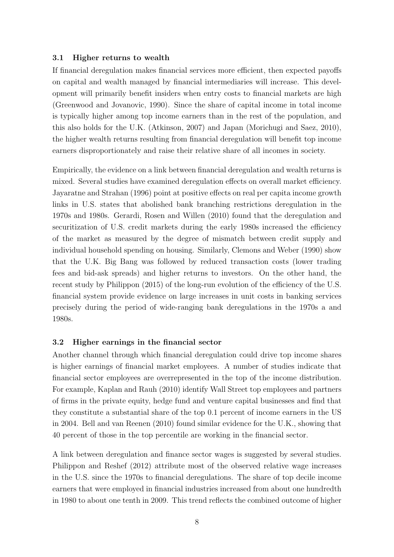#### 3.1 Higher returns to wealth

If financial deregulation makes financial services more efficient, then expected payoffs on capital and wealth managed by financial intermediaries will increase. This development will primarily benefit insiders when entry costs to financial markets are high (Greenwood and Jovanovic, 1990). Since the share of capital income in total income is typically higher among top income earners than in the rest of the population, and this also holds for the U.K. (Atkinson, 2007) and Japan (Morichugi and Saez, 2010), the higher wealth returns resulting from financial deregulation will benefit top income earners disproportionately and raise their relative share of all incomes in society.

Empirically, the evidence on a link between financial deregulation and wealth returns is mixed. Several studies have examined deregulation effects on overall market efficiency. Jayaratne and Strahan (1996) point at positive effects on real per capita income growth links in U.S. states that abolished bank branching restrictions deregulation in the 1970s and 1980s. Gerardi, Rosen and Willen (2010) found that the deregulation and securitization of U.S. credit markets during the early 1980s increased the efficiency of the market as measured by the degree of mismatch between credit supply and individual household spending on housing. Similarly, Clemons and Weber (1990) show that the U.K. Big Bang was followed by reduced transaction costs (lower trading fees and bid-ask spreads) and higher returns to investors. On the other hand, the recent study by Philippon (2015) of the long-run evolution of the efficiency of the U.S. financial system provide evidence on large increases in unit costs in banking services precisely during the period of wide-ranging bank deregulations in the 1970s a and 1980s.

#### 3.2 Higher earnings in the financial sector

Another channel through which financial deregulation could drive top income shares is higher earnings of financial market employees. A number of studies indicate that financial sector employees are overrepresented in the top of the income distribution. For example, Kaplan and Rauh (2010) identify Wall Street top employees and partners of firms in the private equity, hedge fund and venture capital businesses and find that they constitute a substantial share of the top 0.1 percent of income earners in the US in 2004. Bell and van Reenen (2010) found similar evidence for the U.K., showing that 40 percent of those in the top percentile are working in the financial sector.

A link between deregulation and finance sector wages is suggested by several studies. Philippon and Reshef (2012) attribute most of the observed relative wage increases in the U.S. since the 1970s to financial deregulations. The share of top decile income earners that were employed in financial industries increased from about one hundredth in 1980 to about one tenth in 2009. This trend reflects the combined outcome of higher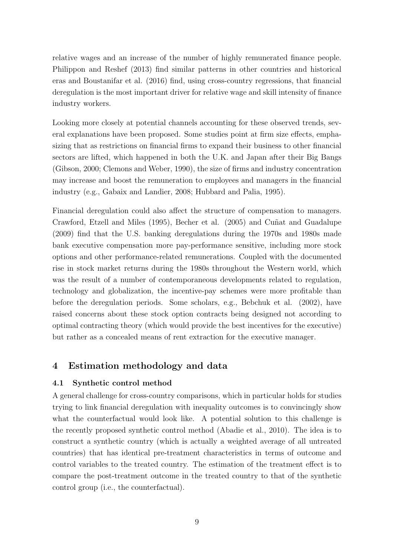relative wages and an increase of the number of highly remunerated finance people. Philippon and Reshef (2013) find similar patterns in other countries and historical eras and Boustanifar et al. (2016) find, using cross-country regressions, that financial deregulation is the most important driver for relative wage and skill intensity of finance industry workers.

Looking more closely at potential channels accounting for these observed trends, several explanations have been proposed. Some studies point at firm size effects, emphasizing that as restrictions on financial firms to expand their business to other financial sectors are lifted, which happened in both the U.K. and Japan after their Big Bangs (Gibson, 2000; Clemons and Weber, 1990), the size of firms and industry concentration may increase and boost the remuneration to employees and managers in the financial industry (e.g., Gabaix and Landier, 2008; Hubbard and Palia, 1995).

Financial deregulation could also affect the structure of compensation to managers. Crawford, Etzell and Miles (1995), Becher et al. (2005) and Cuñat and Guadalupe (2009) find that the U.S. banking deregulations during the 1970s and 1980s made bank executive compensation more pay-performance sensitive, including more stock options and other performance-related remunerations. Coupled with the documented rise in stock market returns during the 1980s throughout the Western world, which was the result of a number of contemporaneous developments related to regulation, technology and globalization, the incentive-pay schemes were more profitable than before the deregulation periods. Some scholars, e.g., Bebchuk et al. (2002), have raised concerns about these stock option contracts being designed not according to optimal contracting theory (which would provide the best incentives for the executive) but rather as a concealed means of rent extraction for the executive manager.

#### 4 Estimation methodology and data

#### 4.1 Synthetic control method

A general challenge for cross-country comparisons, which in particular holds for studies trying to link financial deregulation with inequality outcomes is to convincingly show what the counterfactual would look like. A potential solution to this challenge is the recently proposed synthetic control method (Abadie et al., 2010). The idea is to construct a synthetic country (which is actually a weighted average of all untreated countries) that has identical pre-treatment characteristics in terms of outcome and control variables to the treated country. The estimation of the treatment effect is to compare the post-treatment outcome in the treated country to that of the synthetic control group (i.e., the counterfactual).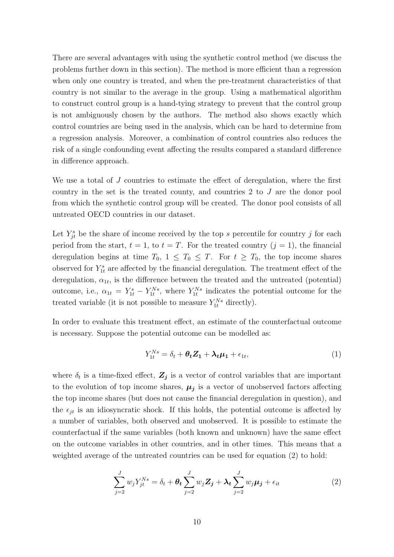There are several advantages with using the synthetic control method (we discuss the problems further down in this section). The method is more efficient than a regression when only one country is treated, and when the pre-treatment characteristics of that country is not similar to the average in the group. Using a mathematical algorithm to construct control group is a hand-tying strategy to prevent that the control group is not ambiguously chosen by the authors. The method also shows exactly which control countries are being used in the analysis, which can be hard to determine from a regression analysis. Moreover, a combination of control countries also reduces the risk of a single confounding event affecting the results compared a standard difference in difference approach.

We use a total of J countries to estimate the effect of deregulation, where the first country in the set is the treated county, and countries 2 to J are the donor pool from which the synthetic control group will be created. The donor pool consists of all untreated OECD countries in our dataset.

Let  $Y_{jt}^s$  be the share of income received by the top s percentile for country j for each period from the start,  $t = 1$ , to  $t = T$ . For the treated country  $(j = 1)$ , the financial deregulation begins at time  $T_0$ ,  $1 \leq T_0 \leq T$ . For  $t \geq T_0$ , the top income shares observed for  $Y_{1t}^s$  are affected by the financial deregulation. The treatment effect of the deregulation,  $\alpha_{1t}$ , is the difference between the treated and the untreated (potential) outcome, i.e.,  $\alpha_{1t} = Y_{1t}^s - Y_{1t}^{Ns}$ , where  $Y_{1t}^{Ns}$  indicates the potential outcome for the treated variable (it is not possible to measure  $Y_{1t}^{Ns}$  directly).

In order to evaluate this treatment effect, an estimate of the counterfactual outcome is necessary. Suppose the potential outcome can be modelled as:

$$
Y_{1t}^{Ns} = \delta_t + \theta_t Z_1 + \lambda_t \mu_1 + \epsilon_{1t}, \tag{1}
$$

where  $\delta_t$  is a time-fixed effect,  $\mathbf{Z}_j$  is a vector of control variables that are important to the evolution of top income shares,  $\mu_j$  is a vector of unobserved factors affecting the top income shares (but does not cause the financial deregulation in question), and the  $\epsilon_{it}$  is an idiosyncratic shock. If this holds, the potential outcome is affected by a number of variables, both observed and unobserved. It is possible to estimate the counterfactual if the same variables (both known and unknown) have the same effect on the outcome variables in other countries, and in other times. This means that a weighted average of the untreated countries can be used for equation (2) to hold:

$$
\sum_{j=2}^{J} w_j Y_{jt}^{Ns} = \delta_t + \theta_t \sum_{j=2}^{J} w_j \mathbf{Z}_j + \lambda_t \sum_{j=2}^{J} w_j \boldsymbol{\mu}_j + \epsilon_{it}
$$
(2)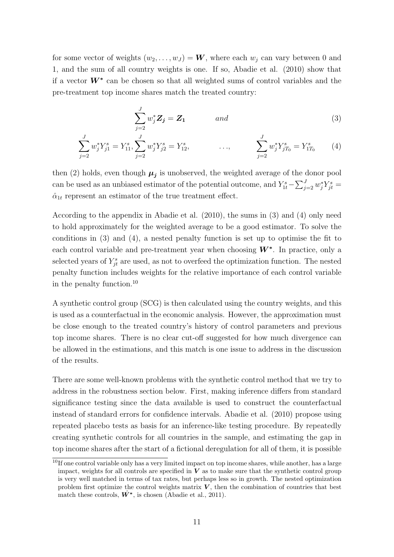for some vector of weights  $(w_2, \ldots, w_J) = \mathbf{W}$ , where each  $w_j$  can vary between 0 and 1, and the sum of all country weights is one. If so, Abadie et al. (2010) show that if a vector  $W^*$  can be chosen so that all weighted sums of control variables and the pre-treatment top income shares match the treated country:

$$
\sum_{j=2}^{J} w_j^* \mathbf{Z}_j = \mathbf{Z}_1 \qquad \text{and} \qquad (3)
$$

$$
\sum_{j=2}^{J} w_j^* Y_{j1}^s = Y_{11}^s, \sum_{j=2}^{J} w_j^* Y_{j2}^s = Y_{12}^s, \qquad \dots, \qquad \sum_{j=2}^{J} w_j^* Y_{jT_0}^s = Y_{1T_0}^s \qquad (4)
$$

then (2) holds, even though  $\mu_j$  is unobserved, the weighted average of the donor pool can be used as an unbiased estimator of the potential outcome, and  $Y_{1t}^s - \sum_{j=2}^J w_j^* Y_{jt}^s =$  $\hat{\alpha}_{1t}$  represent an estimator of the true treatment effect.

According to the appendix in Abadie et al. (2010), the sums in (3) and (4) only need to hold approximately for the weighted average to be a good estimator. To solve the conditions in (3) and (4), a nested penalty function is set up to optimise the fit to each control variable and pre-treatment year when choosing  $W^*$ . In practice, only a selected years of  $Y_{jt}^s$  are used, as not to overfeed the optimization function. The nested penalty function includes weights for the relative importance of each control variable in the penalty function.<sup>10</sup>

A synthetic control group (SCG) is then calculated using the country weights, and this is used as a counterfactual in the economic analysis. However, the approximation must be close enough to the treated country's history of control parameters and previous top income shares. There is no clear cut-off suggested for how much divergence can be allowed in the estimations, and this match is one issue to address in the discussion of the results.

There are some well-known problems with the synthetic control method that we try to address in the robustness section below. First, making inference differs from standard significance testing since the data available is used to construct the counterfactual instead of standard errors for confidence intervals. Abadie et al. (2010) propose using repeated placebo tests as basis for an inference-like testing procedure. By repeatedly creating synthetic controls for all countries in the sample, and estimating the gap in top income shares after the start of a fictional deregulation for all of them, it is possible

 $10$ If one control variable only has a very limited impact on top income shares, while another, has a large impact, weights for all controls are specified in  $V$  as to make sure that the synthetic control group is very well matched in terms of tax rates, but perhaps less so in growth. The nested optimization problem first optimize the control weights matrix  $V$ , then the combination of countries that best match these controls,  $\hat{W}^*$ , is chosen (Abadie et al., 2011).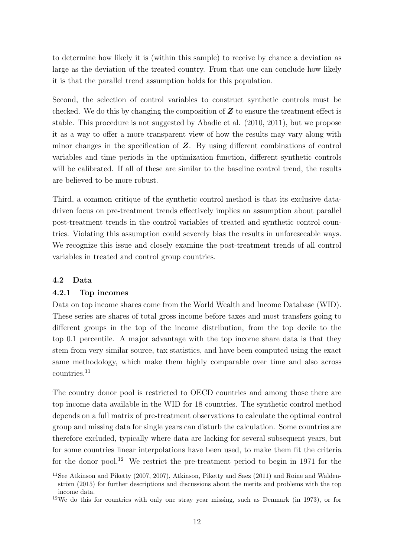to determine how likely it is (within this sample) to receive by chance a deviation as large as the deviation of the treated country. From that one can conclude how likely it is that the parallel trend assumption holds for this population.

Second, the selection of control variables to construct synthetic controls must be checked. We do this by changing the composition of  $Z$  to ensure the treatment effect is stable. This procedure is not suggested by Abadie et al. (2010, 2011), but we propose it as a way to offer a more transparent view of how the results may vary along with minor changes in the specification of  $Z$ . By using different combinations of control variables and time periods in the optimization function, different synthetic controls will be calibrated. If all of these are similar to the baseline control trend, the results are believed to be more robust.

Third, a common critique of the synthetic control method is that its exclusive datadriven focus on pre-treatment trends effectively implies an assumption about parallel post-treatment trends in the control variables of treated and synthetic control countries. Violating this assumption could severely bias the results in unforeseeable ways. We recognize this issue and closely examine the post-treatment trends of all control variables in treated and control group countries.

#### 4.2 Data

#### 4.2.1 Top incomes

Data on top income shares come from the World Wealth and Income Database (WID). These series are shares of total gross income before taxes and most transfers going to different groups in the top of the income distribution, from the top decile to the top 0.1 percentile. A major advantage with the top income share data is that they stem from very similar source, tax statistics, and have been computed using the exact same methodology, which make them highly comparable over time and also across countries.<sup>11</sup>

The country donor pool is restricted to OECD countries and among those there are top income data available in the WID for 18 countries. The synthetic control method depends on a full matrix of pre-treatment observations to calculate the optimal control group and missing data for single years can disturb the calculation. Some countries are therefore excluded, typically where data are lacking for several subsequent years, but for some countries linear interpolations have been used, to make them fit the criteria for the donor pool.<sup>12</sup> We restrict the pre-treatment period to begin in 1971 for the

<sup>11</sup>See Atkinson and Piketty (2007, 2007), Atkinson, Piketty and Saez (2011) and Roine and Waldenström (2015) for further descriptions and discussions about the merits and problems with the top income data.

<sup>&</sup>lt;sup>12</sup>We do this for countries with only one stray year missing, such as Denmark (in 1973), or for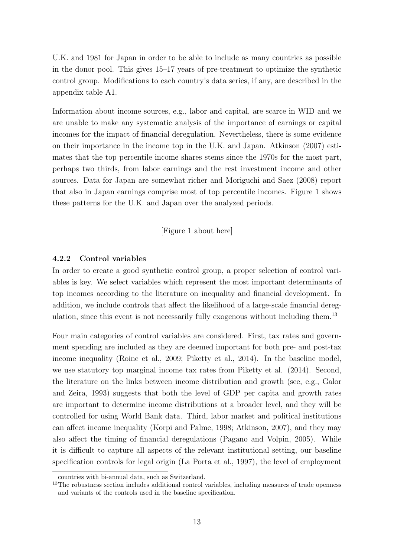U.K. and 1981 for Japan in order to be able to include as many countries as possible in the donor pool. This gives 15–17 years of pre-treatment to optimize the synthetic control group. Modifications to each country's data series, if any, are described in the appendix table A1.

Information about income sources, e.g., labor and capital, are scarce in WID and we are unable to make any systematic analysis of the importance of earnings or capital incomes for the impact of financial deregulation. Nevertheless, there is some evidence on their importance in the income top in the U.K. and Japan. Atkinson (2007) estimates that the top percentile income shares stems since the 1970s for the most part, perhaps two thirds, from labor earnings and the rest investment income and other sources. Data for Japan are somewhat richer and Moriguchi and Saez (2008) report that also in Japan earnings comprise most of top percentile incomes. Figure 1 shows these patterns for the U.K. and Japan over the analyzed periods.

[Figure 1 about here]

#### 4.2.2 Control variables

In order to create a good synthetic control group, a proper selection of control variables is key. We select variables which represent the most important determinants of top incomes according to the literature on inequality and financial development. In addition, we include controls that affect the likelihood of a large-scale financial deregulation, since this event is not necessarily fully exogenous without including them.<sup>13</sup>

Four main categories of control variables are considered. First, tax rates and government spending are included as they are deemed important for both pre- and post-tax income inequality (Roine et al., 2009; Piketty et al., 2014). In the baseline model, we use statutory top marginal income tax rates from Piketty et al. (2014). Second, the literature on the links between income distribution and growth (see, e.g., Galor and Zeira, 1993) suggests that both the level of GDP per capita and growth rates are important to determine income distributions at a broader level, and they will be controlled for using World Bank data. Third, labor market and political institutions can affect income inequality (Korpi and Palme, 1998; Atkinson, 2007), and they may also affect the timing of financial deregulations (Pagano and Volpin, 2005). While it is difficult to capture all aspects of the relevant institutional setting, our baseline specification controls for legal origin (La Porta et al., 1997), the level of employment

countries with bi-annual data, such as Switzerland.

<sup>&</sup>lt;sup>13</sup>The robustness section includes additional control variables, including measures of trade openness and variants of the controls used in the baseline specification.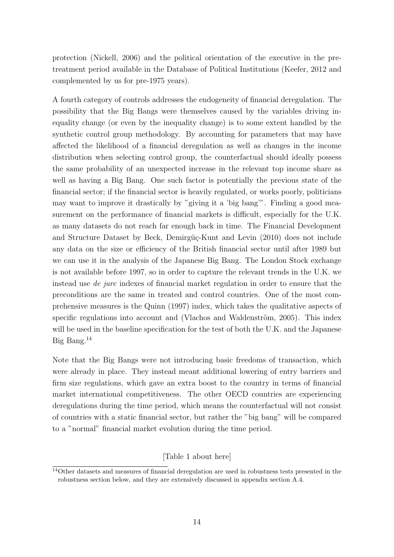protection (Nickell, 2006) and the political orientation of the executive in the pretreatment period available in the Database of Political Institutions (Keefer, 2012 and complemented by us for pre-1975 years).

A fourth category of controls addresses the endogeneity of financial deregulation. The possibility that the Big Bangs were themselves caused by the variables driving inequality change (or even by the inequality change) is to some extent handled by the synthetic control group methodology. By accounting for parameters that may have affected the likelihood of a financial deregulation as well as changes in the income distribution when selecting control group, the counterfactual should ideally possess the same probability of an unexpected increase in the relevant top income share as well as having a Big Bang. One such factor is potentially the previous state of the financial sector; if the financial sector is heavily regulated, or works poorly, politicians may want to improve it drastically by "giving it a 'big bang'". Finding a good measurement on the performance of financial markets is difficult, especially for the U.K. as many datasets do not reach far enough back in time. The Financial Development and Structure Dataset by Beck, Demirgüç-Kunt and Levin (2010) does not include any data on the size or efficiency of the British financial sector until after 1989 but we can use it in the analysis of the Japanese Big Bang. The London Stock exchange is not available before 1997, so in order to capture the relevant trends in the U.K. we instead use de jure indexes of financial market regulation in order to ensure that the preconditions are the same in treated and control countries. One of the most comprehensive measures is the Quinn (1997) index, which takes the qualitative aspects of specific regulations into account and (Vlachos and Waldenström, 2005). This index will be used in the baseline specification for the test of both the U.K. and the Japanese Big Bang.<sup>14</sup>

Note that the Big Bangs were not introducing basic freedoms of transaction, which were already in place. They instead meant additional lowering of entry barriers and firm size regulations, which gave an extra boost to the country in terms of financial market international competitiveness. The other OECD countries are experiencing deregulations during the time period, which means the counterfactual will not consist of countries with a static financial sector, but rather the "big bang" will be compared to a "normal" financial market evolution during the time period.

[Table 1 about here]

<sup>14</sup>Other datasets and measures of financial deregulation are used in robustness tests presented in the robustness section below, and they are extensively discussed in appendix section A.4.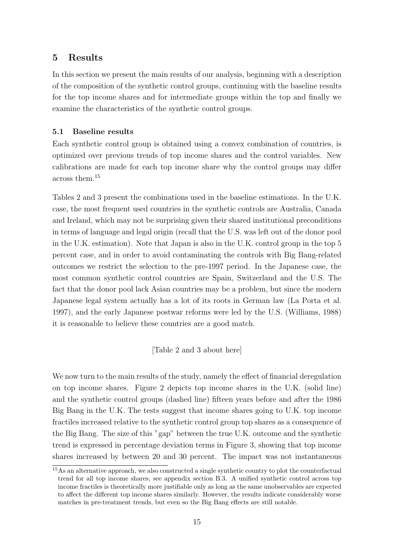#### 5 Results

In this section we present the main results of our analysis, beginning with a description of the composition of the synthetic control groups, continuing with the baseline results for the top income shares and for intermediate groups within the top and finally we examine the characteristics of the synthetic control groups.

#### 5.1 Baseline results

Each synthetic control group is obtained using a convex combination of countries, is optimized over previous trends of top income shares and the control variables. New calibrations are made for each top income share why the control groups may differ across them.<sup>15</sup>

Tables 2 and 3 present the combinations used in the baseline estimations. In the U.K. case, the most frequent used countries in the synthetic controls are Australia, Canada and Ireland, which may not be surprising given their shared institutional preconditions in terms of language and legal origin (recall that the U.S. was left out of the donor pool in the U.K. estimation). Note that Japan is also in the U.K. control group in the top 5 percent case, and in order to avoid contaminating the controls with Big Bang-related outcomes we restrict the selection to the pre-1997 period. In the Japanese case, the most common synthetic control countries are Spain, Switzerland and the U.S. The fact that the donor pool lack Asian countries may be a problem, but since the modern Japanese legal system actually has a lot of its roots in German law (La Porta et al. 1997), and the early Japanese postwar reforms were led by the U.S. (Williams, 1988) it is reasonable to believe these countries are a good match.

#### [Table 2 and 3 about here]

We now turn to the main results of the study, namely the effect of financial deregulation on top income shares. Figure 2 depicts top income shares in the U.K. (solid line) and the synthetic control groups (dashed line) fifteen years before and after the 1986 Big Bang in the U.K. The tests suggest that income shares going to U.K. top income fractiles increased relative to the synthetic control group top shares as a consequence of the Big Bang. The size of this "gap" between the true U.K. outcome and the synthetic trend is expressed in percentage deviation terms in Figure 3, showing that top income shares increased by between 20 and 30 percent. The impact was not instantaneous

<sup>&</sup>lt;sup>15</sup>As an alternative approach, we also constructed a single synthetic country to plot the counterfactual trend for all top income shares, see appendix section B.3. A unified synthetic control across top income fractiles is theoretically more justifiable only as long as the same unobservables are expected to affect the different top income shares similarly. However, the results indicate considerably worse matches in pre-treatment trends, but even so the Big Bang effects are still notable.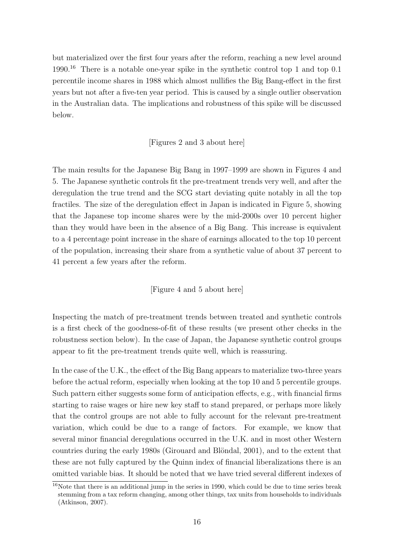but materialized over the first four years after the reform, reaching a new level around 1990.<sup>16</sup> There is a notable one-year spike in the synthetic control top 1 and top 0.1 percentile income shares in 1988 which almost nullifies the Big Bang-effect in the first years but not after a five-ten year period. This is caused by a single outlier observation in the Australian data. The implications and robustness of this spike will be discussed below.

[Figures 2 and 3 about here]

The main results for the Japanese Big Bang in 1997–1999 are shown in Figures 4 and 5. The Japanese synthetic controls fit the pre-treatment trends very well, and after the deregulation the true trend and the SCG start deviating quite notably in all the top fractiles. The size of the deregulation effect in Japan is indicated in Figure 5, showing that the Japanese top income shares were by the mid-2000s over 10 percent higher than they would have been in the absence of a Big Bang. This increase is equivalent to a 4 percentage point increase in the share of earnings allocated to the top 10 percent of the population, increasing their share from a synthetic value of about 37 percent to 41 percent a few years after the reform.

[Figure 4 and 5 about here]

Inspecting the match of pre-treatment trends between treated and synthetic controls is a first check of the goodness-of-fit of these results (we present other checks in the robustness section below). In the case of Japan, the Japanese synthetic control groups appear to fit the pre-treatment trends quite well, which is reassuring.

In the case of the U.K., the effect of the Big Bang appears to materialize two-three years before the actual reform, especially when looking at the top 10 and 5 percentile groups. Such pattern either suggests some form of anticipation effects, e.g., with financial firms starting to raise wages or hire new key staff to stand prepared, or perhaps more likely that the control groups are not able to fully account for the relevant pre-treatment variation, which could be due to a range of factors. For example, we know that several minor financial deregulations occurred in the U.K. and in most other Western countries during the early 1980s (Girouard and Blöndal, 2001), and to the extent that these are not fully captured by the Quinn index of financial liberalizations there is an omitted variable bias. It should be noted that we have tried several different indexes of

 $16$ Note that there is an additional jump in the series in 1990, which could be due to time series break stemming from a tax reform changing, among other things, tax units from households to individuals (Atkinson, 2007).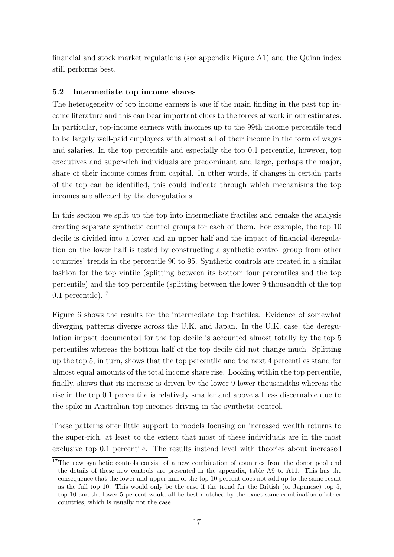financial and stock market regulations (see appendix Figure A1) and the Quinn index still performs best.

#### 5.2 Intermediate top income shares

The heterogeneity of top income earners is one if the main finding in the past top income literature and this can bear important clues to the forces at work in our estimates. In particular, top-income earners with incomes up to the 99th income percentile tend to be largely well-paid employees with almost all of their income in the form of wages and salaries. In the top percentile and especially the top 0.1 percentile, however, top executives and super-rich individuals are predominant and large, perhaps the major, share of their income comes from capital. In other words, if changes in certain parts of the top can be identified, this could indicate through which mechanisms the top incomes are affected by the deregulations.

In this section we split up the top into intermediate fractiles and remake the analysis creating separate synthetic control groups for each of them. For example, the top 10 decile is divided into a lower and an upper half and the impact of financial deregulation on the lower half is tested by constructing a synthetic control group from other countries' trends in the percentile 90 to 95. Synthetic controls are created in a similar fashion for the top vintile (splitting between its bottom four percentiles and the top percentile) and the top percentile (splitting between the lower 9 thousandth of the top  $0.1$  percentile).<sup>17</sup>

Figure 6 shows the results for the intermediate top fractiles. Evidence of somewhat diverging patterns diverge across the U.K. and Japan. In the U.K. case, the deregulation impact documented for the top decile is accounted almost totally by the top 5 percentiles whereas the bottom half of the top decile did not change much. Splitting up the top 5, in turn, shows that the top percentile and the next 4 percentiles stand for almost equal amounts of the total income share rise. Looking within the top percentile, finally, shows that its increase is driven by the lower 9 lower thousandths whereas the rise in the top 0.1 percentile is relatively smaller and above all less discernable due to the spike in Australian top incomes driving in the synthetic control.

These patterns offer little support to models focusing on increased wealth returns to the super-rich, at least to the extent that most of these individuals are in the most exclusive top 0.1 percentile. The results instead level with theories about increased

<sup>&</sup>lt;sup>17</sup>The new synthetic controls consist of a new combination of countries from the donor pool and the details of these new controls are presented in the appendix, table A9 to A11. This has the consequence that the lower and upper half of the top 10 percent does not add up to the same result as the full top 10. This would only be the case if the trend for the British (or Japanese) top 5, top 10 and the lower 5 percent would all be best matched by the exact same combination of other countries, which is usually not the case.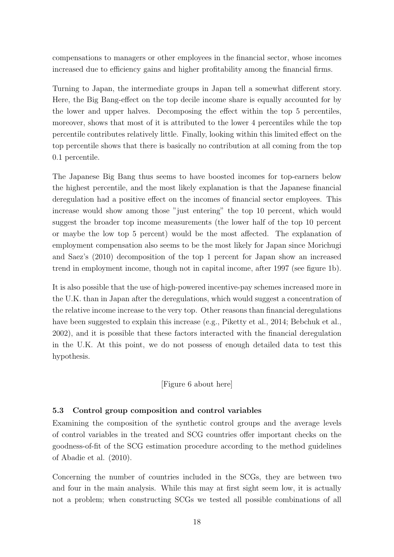compensations to managers or other employees in the financial sector, whose incomes increased due to efficiency gains and higher profitability among the financial firms.

Turning to Japan, the intermediate groups in Japan tell a somewhat different story. Here, the Big Bang-effect on the top decile income share is equally accounted for by the lower and upper halves. Decomposing the effect within the top 5 percentiles, moreover, shows that most of it is attributed to the lower 4 percentiles while the top percentile contributes relatively little. Finally, looking within this limited effect on the top percentile shows that there is basically no contribution at all coming from the top 0.1 percentile.

The Japanese Big Bang thus seems to have boosted incomes for top-earners below the highest percentile, and the most likely explanation is that the Japanese financial deregulation had a positive effect on the incomes of financial sector employees. This increase would show among those "just entering" the top 10 percent, which would suggest the broader top income measurements (the lower half of the top 10 percent or maybe the low top 5 percent) would be the most affected. The explanation of employment compensation also seems to be the most likely for Japan since Morichugi and Saez's (2010) decomposition of the top 1 percent for Japan show an increased trend in employment income, though not in capital income, after 1997 (see figure 1b).

It is also possible that the use of high-powered incentive-pay schemes increased more in the U.K. than in Japan after the deregulations, which would suggest a concentration of the relative income increase to the very top. Other reasons than financial deregulations have been suggested to explain this increase (e.g., Piketty et al., 2014; Bebchuk et al., 2002), and it is possible that these factors interacted with the financial deregulation in the U.K. At this point, we do not possess of enough detailed data to test this hypothesis.

#### [Figure 6 about here]

#### 5.3 Control group composition and control variables

Examining the composition of the synthetic control groups and the average levels of control variables in the treated and SCG countries offer important checks on the goodness-of-fit of the SCG estimation procedure according to the method guidelines of Abadie et al. (2010).

Concerning the number of countries included in the SCGs, they are between two and four in the main analysis. While this may at first sight seem low, it is actually not a problem; when constructing SCGs we tested all possible combinations of all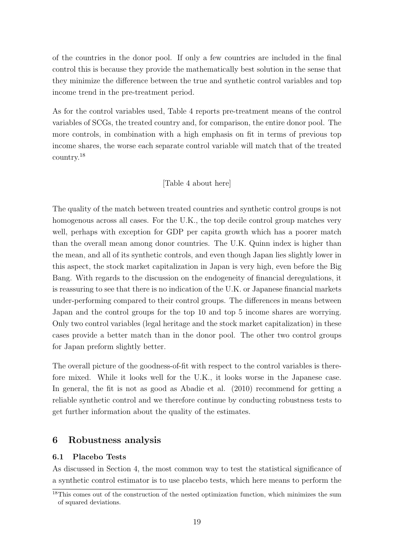of the countries in the donor pool. If only a few countries are included in the final control this is because they provide the mathematically best solution in the sense that they minimize the difference between the true and synthetic control variables and top income trend in the pre-treatment period.

As for the control variables used, Table 4 reports pre-treatment means of the control variables of SCGs, the treated country and, for comparison, the entire donor pool. The more controls, in combination with a high emphasis on fit in terms of previous top income shares, the worse each separate control variable will match that of the treated country.<sup>18</sup>

#### [Table 4 about here]

The quality of the match between treated countries and synthetic control groups is not homogenous across all cases. For the U.K., the top decile control group matches very well, perhaps with exception for GDP per capita growth which has a poorer match than the overall mean among donor countries. The U.K. Quinn index is higher than the mean, and all of its synthetic controls, and even though Japan lies slightly lower in this aspect, the stock market capitalization in Japan is very high, even before the Big Bang. With regards to the discussion on the endogeneity of financial deregulations, it is reassuring to see that there is no indication of the U.K. or Japanese financial markets under-performing compared to their control groups. The differences in means between Japan and the control groups for the top 10 and top 5 income shares are worrying. Only two control variables (legal heritage and the stock market capitalization) in these cases provide a better match than in the donor pool. The other two control groups for Japan preform slightly better.

The overall picture of the goodness-of-fit with respect to the control variables is therefore mixed. While it looks well for the U.K., it looks worse in the Japanese case. In general, the fit is not as good as Abadie et al. (2010) recommend for getting a reliable synthetic control and we therefore continue by conducting robustness tests to get further information about the quality of the estimates.

#### 6 Robustness analysis

#### 6.1 Placebo Tests

As discussed in Section 4, the most common way to test the statistical significance of a synthetic control estimator is to use placebo tests, which here means to perform the

 $18$ This comes out of the construction of the nested optimization function, which minimizes the sum of squared deviations.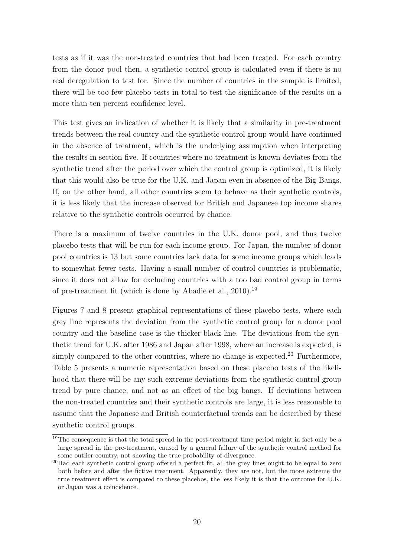tests as if it was the non-treated countries that had been treated. For each country from the donor pool then, a synthetic control group is calculated even if there is no real deregulation to test for. Since the number of countries in the sample is limited, there will be too few placebo tests in total to test the significance of the results on a more than ten percent confidence level.

This test gives an indication of whether it is likely that a similarity in pre-treatment trends between the real country and the synthetic control group would have continued in the absence of treatment, which is the underlying assumption when interpreting the results in section five. If countries where no treatment is known deviates from the synthetic trend after the period over which the control group is optimized, it is likely that this would also be true for the U.K. and Japan even in absence of the Big Bangs. If, on the other hand, all other countries seem to behave as their synthetic controls, it is less likely that the increase observed for British and Japanese top income shares relative to the synthetic controls occurred by chance.

There is a maximum of twelve countries in the U.K. donor pool, and thus twelve placebo tests that will be run for each income group. For Japan, the number of donor pool countries is 13 but some countries lack data for some income groups which leads to somewhat fewer tests. Having a small number of control countries is problematic, since it does not allow for excluding countries with a too bad control group in terms of pre-treatment fit (which is done by Abadie et al., 2010).<sup>19</sup>

Figures 7 and 8 present graphical representations of these placebo tests, where each grey line represents the deviation from the synthetic control group for a donor pool country and the baseline case is the thicker black line. The deviations from the synthetic trend for U.K. after 1986 and Japan after 1998, where an increase is expected, is simply compared to the other countries, where no change is expected.<sup>20</sup> Furthermore, Table 5 presents a numeric representation based on these placebo tests of the likelihood that there will be any such extreme deviations from the synthetic control group trend by pure chance, and not as an effect of the big bangs. If deviations between the non-treated countries and their synthetic controls are large, it is less reasonable to assume that the Japanese and British counterfactual trends can be described by these synthetic control groups.

<sup>&</sup>lt;sup>19</sup>The consequence is that the total spread in the post-treatment time period might in fact only be a large spread in the pre-treatment, caused by a general failure of the synthetic control method for some outlier country, not showing the true probability of divergence.

<sup>20</sup>Had each synthetic control group offered a perfect fit, all the grey lines ought to be equal to zero both before and after the fictive treatment. Apparently, they are not, but the more extreme the true treatment effect is compared to these placebos, the less likely it is that the outcome for U.K. or Japan was a coincidence.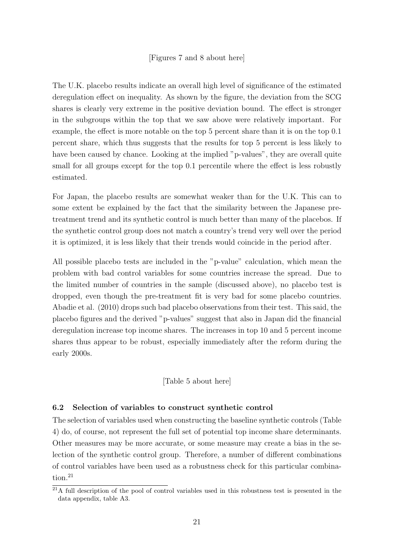The U.K. placebo results indicate an overall high level of significance of the estimated deregulation effect on inequality. As shown by the figure, the deviation from the SCG shares is clearly very extreme in the positive deviation bound. The effect is stronger in the subgroups within the top that we saw above were relatively important. For example, the effect is more notable on the top 5 percent share than it is on the top 0.1 percent share, which thus suggests that the results for top 5 percent is less likely to have been caused by chance. Looking at the implied "p-values", they are overall quite small for all groups except for the top 0.1 percentile where the effect is less robustly estimated.

For Japan, the placebo results are somewhat weaker than for the U.K. This can to some extent be explained by the fact that the similarity between the Japanese pretreatment trend and its synthetic control is much better than many of the placebos. If the synthetic control group does not match a country's trend very well over the period it is optimized, it is less likely that their trends would coincide in the period after.

All possible placebo tests are included in the "p-value" calculation, which mean the problem with bad control variables for some countries increase the spread. Due to the limited number of countries in the sample (discussed above), no placebo test is dropped, even though the pre-treatment fit is very bad for some placebo countries. Abadie et al. (2010) drops such bad placebo observations from their test. This said, the placebo figures and the derived "p-values" suggest that also in Japan did the financial deregulation increase top income shares. The increases in top 10 and 5 percent income shares thus appear to be robust, especially immediately after the reform during the early 2000s.

#### [Table 5 about here]

#### 6.2 Selection of variables to construct synthetic control

The selection of variables used when constructing the baseline synthetic controls (Table 4) do, of course, not represent the full set of potential top income share determinants. Other measures may be more accurate, or some measure may create a bias in the selection of the synthetic control group. Therefore, a number of different combinations of control variables have been used as a robustness check for this particular combination.<sup>21</sup>

 $^{21}$ A full description of the pool of control variables used in this robustness test is presented in the data appendix, table A3.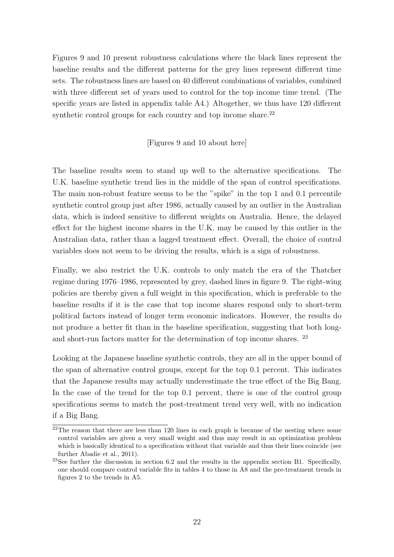Figures 9 and 10 present robustness calculations where the black lines represent the baseline results and the different patterns for the grey lines represent different time sets. The robustness lines are based on 40 different combinations of variables, combined with three different set of years used to control for the top income time trend. (The specific years are listed in appendix table A4.) Altogether, we thus have 120 different synthetic control groups for each country and top income share.<sup>22</sup>

#### [Figures 9 and 10 about here]

The baseline results seem to stand up well to the alternative specifications. The U.K. baseline synthetic trend lies in the middle of the span of control specifications. The main non-robust feature seems to be the "spike" in the top 1 and 0.1 percentile synthetic control group just after 1986, actually caused by an outlier in the Australian data, which is indeed sensitive to different weights on Australia. Hence, the delayed effect for the highest income shares in the U.K. may be caused by this outlier in the Australian data, rather than a lagged treatment effect. Overall, the choice of control variables does not seem to be driving the results, which is a sign of robustness.

Finally, we also restrict the U.K. controls to only match the era of the Thatcher regime during 1976–1986, represented by grey, dashed lines in figure 9. The right-wing policies are thereby given a full weight in this specification, which is preferable to the baseline results if it is the case that top income shares respond only to short-term political factors instead of longer term economic indicators. However, the results do not produce a better fit than in the baseline specification, suggesting that both longand short-run factors matter for the determination of top income shares. <sup>23</sup>

Looking at the Japanese baseline synthetic controls, they are all in the upper bound of the span of alternative control groups, except for the top 0.1 percent. This indicates that the Japanese results may actually underestimate the true effect of the Big Bang. In the case of the trend for the top 0.1 percent, there is one of the control group specifications seems to match the post-treatment trend very well, with no indication if a Big Bang.

 $22$ The reason that there are less than 120 lines in each graph is because of the nesting where some control variables are given a very small weight and thus may result in an optimization problem which is basically identical to a specification without that variable and thus their lines coincide (see further Abadie et al., 2011).

<sup>&</sup>lt;sup>23</sup>See further the discussion in section 6.2 and the results in the appendix section B1. Specifically, one should compare control variable fits in tables 4 to those in A8 and the pre-treatment trends in figures 2 to the trends in A5.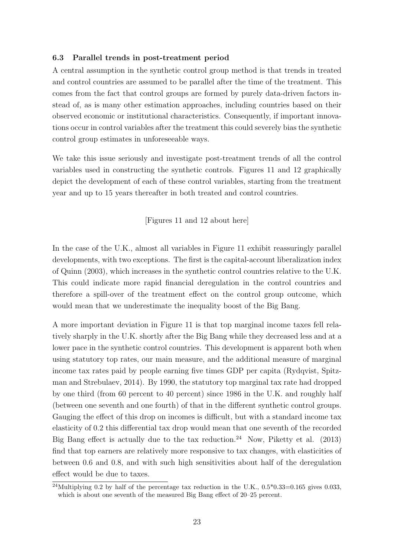#### 6.3 Parallel trends in post-treatment period

A central assumption in the synthetic control group method is that trends in treated and control countries are assumed to be parallel after the time of the treatment. This comes from the fact that control groups are formed by purely data-driven factors instead of, as is many other estimation approaches, including countries based on their observed economic or institutional characteristics. Consequently, if important innovations occur in control variables after the treatment this could severely bias the synthetic control group estimates in unforeseeable ways.

We take this issue seriously and investigate post-treatment trends of all the control variables used in constructing the synthetic controls. Figures 11 and 12 graphically depict the development of each of these control variables, starting from the treatment year and up to 15 years thereafter in both treated and control countries.

[Figures 11 and 12 about here]

In the case of the U.K., almost all variables in Figure 11 exhibit reassuringly parallel developments, with two exceptions. The first is the capital-account liberalization index of Quinn (2003), which increases in the synthetic control countries relative to the U.K. This could indicate more rapid financial deregulation in the control countries and therefore a spill-over of the treatment effect on the control group outcome, which would mean that we underestimate the inequality boost of the Big Bang.

A more important deviation in Figure 11 is that top marginal income taxes fell relatively sharply in the U.K. shortly after the Big Bang while they decreased less and at a lower pace in the synthetic control countries. This development is apparent both when using statutory top rates, our main measure, and the additional measure of marginal income tax rates paid by people earning five times GDP per capita (Rydqvist, Spitzman and Strebulaev, 2014). By 1990, the statutory top marginal tax rate had dropped by one third (from 60 percent to 40 percent) since 1986 in the U.K. and roughly half (between one seventh and one fourth) of that in the different synthetic control groups. Gauging the effect of this drop on incomes is difficult, but with a standard income tax elasticity of 0.2 this differential tax drop would mean that one seventh of the recorded Big Bang effect is actually due to the tax reduction.<sup>24</sup> Now, Piketty et al.  $(2013)$ find that top earners are relatively more responsive to tax changes, with elasticities of between 0.6 and 0.8, and with such high sensitivities about half of the deregulation effect would be due to taxes.

<sup>&</sup>lt;sup>24</sup>Multiplying 0.2 by half of the percentage tax reduction in the U.K.,  $0.5*0.33=0.165$  gives 0.033, which is about one seventh of the measured Big Bang effect of 20–25 percent.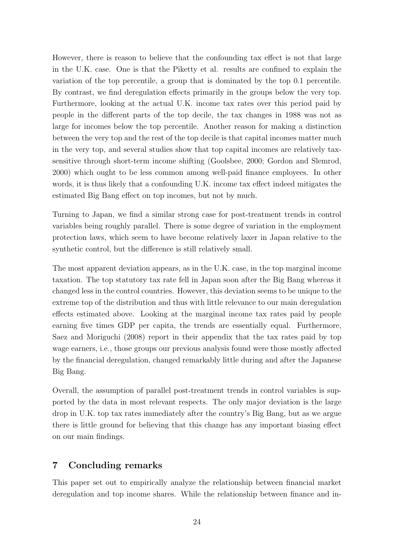However, there is reason to believe that the confounding tax effect is not that large in the U.K. case. One is that the Piketty et al. results are confined to explain the variation of the top percentile, a group that is dominated by the top 0.1 percentile. By contrast, we find deregulation effects primarily in the groups below the very top. Furthermore, looking at the actual U.K. income tax rates over this period paid by people in the different parts of the top decile, the tax changes in 1988 was not as large for incomes below the top percentile. Another reason for making a distinction between the very top and the rest of the top decile is that capital incomes matter much in the very top, and several studies show that top capital incomes are relatively taxsensitive through short-term income shifting (Goolsbee, 2000; Gordon and Slemrod, 2000) which ought to be less common among well-paid finance employees. In other words, it is thus likely that a confounding U.K. income tax effect indeed mitigates the estimated Big Bang effect on top incomes, but not by much.

Turning to Japan, we find a similar strong case for post-treatment trends in control variables being roughly parallel. There is some degree of variation in the employment protection laws, which seem to have become relatively laxer in Japan relative to the synthetic control, but the difference is still relatively small.

The most apparent deviation appears, as in the U.K. case, in the top marginal income taxation. The top statutory tax rate fell in Japan soon after the Big Bang whereas it changed less in the control countries. However, this deviation seems to be unique to the extreme top of the distribution and thus with little relevance to our main deregulation effects estimated above. Looking at the marginal income tax rates paid by people earning five times GDP per capita, the trends are essentially equal. Furthermore, Saez and Moriguchi (2008) report in their appendix that the tax rates paid by top wage earners, i.e., those groups our previous analysis found were those mostly affected by the financial deregulation, changed remarkably little during and after the Japanese Big Bang.

Overall, the assumption of parallel post-treatment trends in control variables is supported by the data in most relevant respects. The only major deviation is the large drop in U.K. top tax rates immediately after the country's Big Bang, but as we argue there is little ground for believing that this change has any important biasing effect on our main findings.

#### 7 Concluding remarks

This paper set out to empirically analyze the relationship between financial market deregulation and top income shares. While the relationship between finance and in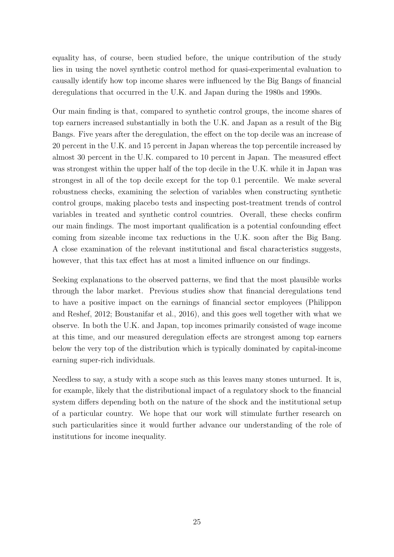equality has, of course, been studied before, the unique contribution of the study lies in using the novel synthetic control method for quasi-experimental evaluation to causally identify how top income shares were influenced by the Big Bangs of financial deregulations that occurred in the U.K. and Japan during the 1980s and 1990s.

Our main finding is that, compared to synthetic control groups, the income shares of top earners increased substantially in both the U.K. and Japan as a result of the Big Bangs. Five years after the deregulation, the effect on the top decile was an increase of 20 percent in the U.K. and 15 percent in Japan whereas the top percentile increased by almost 30 percent in the U.K. compared to 10 percent in Japan. The measured effect was strongest within the upper half of the top decile in the U.K. while it in Japan was strongest in all of the top decile except for the top 0.1 percentile. We make several robustness checks, examining the selection of variables when constructing synthetic control groups, making placebo tests and inspecting post-treatment trends of control variables in treated and synthetic control countries. Overall, these checks confirm our main findings. The most important qualification is a potential confounding effect coming from sizeable income tax reductions in the U.K. soon after the Big Bang. A close examination of the relevant institutional and fiscal characteristics suggests, however, that this tax effect has at most a limited influence on our findings.

Seeking explanations to the observed patterns, we find that the most plausible works through the labor market. Previous studies show that financial deregulations tend to have a positive impact on the earnings of financial sector employees (Philippon and Reshef, 2012; Boustanifar et al., 2016), and this goes well together with what we observe. In both the U.K. and Japan, top incomes primarily consisted of wage income at this time, and our measured deregulation effects are strongest among top earners below the very top of the distribution which is typically dominated by capital-income earning super-rich individuals.

Needless to say, a study with a scope such as this leaves many stones unturned. It is, for example, likely that the distributional impact of a regulatory shock to the financial system differs depending both on the nature of the shock and the institutional setup of a particular country. We hope that our work will stimulate further research on such particularities since it would further advance our understanding of the role of institutions for income inequality.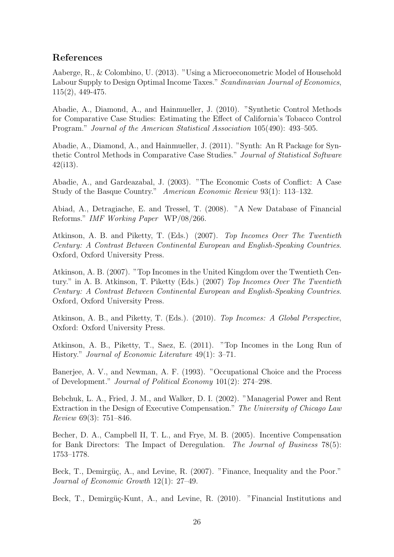### References

Aaberge, R., & Colombino, U. (2013). "Using a Microeconometric Model of Household Labour Supply to Design Optimal Income Taxes." Scandinavian Journal of Economics, 115(2), 449-475.

Abadie, A., Diamond, A., and Hainmueller, J. (2010). "Synthetic Control Methods for Comparative Case Studies: Estimating the Effect of California's Tobacco Control Program." Journal of the American Statistical Association 105(490): 493–505.

Abadie, A., Diamond, A., and Hainmueller, J. (2011). "Synth: An R Package for Synthetic Control Methods in Comparative Case Studies." Journal of Statistical Software 42(i13).

Abadie, A., and Gardeazabal, J. (2003). "The Economic Costs of Conflict: A Case Study of the Basque Country." American Economic Review 93(1): 113–132.

Abiad, A., Detragiache, E. and Tressel, T. (2008). "A New Database of Financial Reforms." IMF Working Paper WP/08/266.

Atkinson, A. B. and Piketty, T. (Eds.) (2007). Top Incomes Over The Twentieth Century: A Contrast Between Continental European and English-Speaking Countries. Oxford, Oxford University Press.

Atkinson, A. B. (2007). "Top Incomes in the United Kingdom over the Twentieth Century." in A. B. Atkinson, T. Piketty (Eds.) (2007) Top Incomes Over The Twentieth Century: A Contrast Between Continental European and English-Speaking Countries. Oxford, Oxford University Press.

Atkinson, A. B., and Piketty, T. (Eds.). (2010). Top Incomes: A Global Perspective, Oxford: Oxford University Press.

Atkinson, A. B., Piketty, T., Saez, E. (2011). "Top Incomes in the Long Run of History." Journal of Economic Literature 49(1): 3–71.

Banerjee, A. V., and Newman, A. F. (1993). "Occupational Choice and the Process of Development." Journal of Political Economy 101(2): 274–298.

Bebchuk, L. A., Fried, J. M., and Walker, D. I. (2002). "Managerial Power and Rent Extraction in the Design of Executive Compensation." The University of Chicago Law Review 69(3): 751–846.

Becher, D. A., Campbell II, T. L., and Frye, M. B. (2005). Incentive Compensation for Bank Directors: The Impact of Deregulation. The Journal of Business 78(5): 1753–1778.

Beck, T., Demirgüç, A., and Levine, R. (2007). "Finance, Inequality and the Poor." Journal of Economic Growth 12(1): 27–49.

Beck, T., Demirgüç-Kunt, A., and Levine, R. (2010). "Financial Institutions and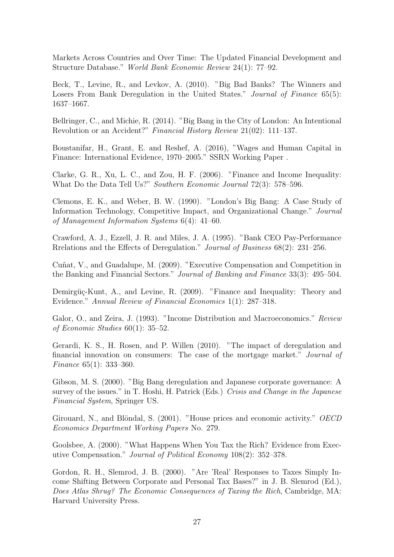Markets Across Countries and Over Time: The Updated Financial Development and Structure Database." World Bank Economic Review 24(1): 77–92.

Beck, T., Levine, R., and Levkov, A. (2010). "Big Bad Banks? The Winners and Losers From Bank Deregulation in the United States." Journal of Finance 65(5): 1637–1667.

Bellringer, C., and Michie, R. (2014). "Big Bang in the City of London: An Intentional Revolution or an Accident?" Financial History Review 21(02): 111–137.

Boustanifar, H., Grant, E. and Reshef, A. (2016), "Wages and Human Capital in Finance: International Evidence, 1970–2005." SSRN Working Paper .

Clarke, G. R., Xu, L. C., and Zou, H. F. (2006). "Finance and Income Inequality: What Do the Data Tell Us?" Southern Economic Journal 72(3): 578–596.

Clemons, E. K., and Weber, B. W. (1990). "London's Big Bang: A Case Study of Information Technology, Competitive Impact, and Organizational Change." Journal of Management Information Systems 6(4): 41–60.

Crawford, A. J., Ezzell, J. R. and Miles, J. A. (1995). "Bank CEO Pay-Performance Rrelations and the Effects of Deregulation." Journal of Business 68(2): 231–256.

Cuñat, V., and Guadalupe, M. (2009). "Executive Compensation and Competition in the Banking and Financial Sectors." Journal of Banking and Finance 33(3): 495–504.

Demirgüç-Kunt, A., and Levine, R. (2009). "Finance and Inequality: Theory and Evidence." Annual Review of Financial Economics 1(1): 287–318.

Galor, O., and Zeira, J. (1993). "Income Distribution and Macroeconomics." Review of Economic Studies 60(1): 35–52.

Gerardi, K. S., H. Rosen, and P. Willen (2010). "The impact of deregulation and financial innovation on consumers: The case of the mortgage market." Journal of Finance 65(1): 333–360.

Gibson, M. S. (2000). "Big Bang deregulation and Japanese corporate governance: A survey of the issues." in T. Hoshi, H. Patrick (Eds.) Crisis and Change in the Japanese Financial System, Springer US.

Girouard, N., and Blöndal, S.  $(2001)$ . "House prices and economic activity." *OECD* Economics Department Working Papers No. 279.

Goolsbee, A. (2000). "What Happens When You Tax the Rich? Evidence from Executive Compensation." Journal of Political Economy 108(2): 352–378.

Gordon, R. H., Slemrod, J. B. (2000). "Are 'Real' Responses to Taxes Simply Income Shifting Between Corporate and Personal Tax Bases?" in J. B. Slemrod (Ed.), Does Atlas Shrug? The Economic Consequences of Taxing the Rich, Cambridge, MA: Harvard University Press.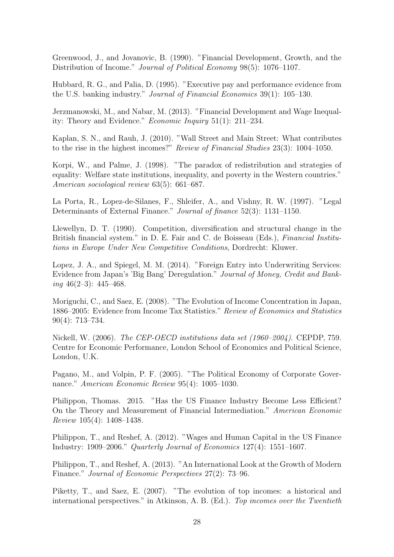Greenwood, J., and Jovanovic, B. (1990). "Financial Development, Growth, and the Distribution of Income." Journal of Political Economy 98(5): 1076–1107.

Hubbard, R. G., and Palia, D. (1995). "Executive pay and performance evidence from the U.S. banking industry." Journal of Financial Economics 39(1): 105–130.

Jerzmanowski, M., and Nabar, M. (2013). "Financial Development and Wage Inequality: Theory and Evidence." Economic Inquiry 51(1): 211–234.

Kaplan, S. N., and Rauh, J. (2010). "Wall Street and Main Street: What contributes to the rise in the highest incomes?" Review of Financial Studies 23(3): 1004–1050.

Korpi, W., and Palme, J. (1998). "The paradox of redistribution and strategies of equality: Welfare state institutions, inequality, and poverty in the Western countries." American sociological review 63(5): 661–687.

La Porta, R., Lopez-de-Silanes, F., Shleifer, A., and Vishny, R. W. (1997). "Legal Determinants of External Finance." Journal of finance 52(3): 1131–1150.

Llewellyn, D. T. (1990). Competition, diversification and structural change in the British financial system." in D. E. Fair and C. de Boisseau (Eds.), *Financial Institu*tions in Europe Under New Competitive Conditions, Dordrecht: Kluwer.

Lopez, J. A., and Spiegel, M. M. (2014). "Foreign Entry into Underwriting Services: Evidence from Japan's 'Big Bang' Deregulation." Journal of Money, Credit and Banking  $46(2-3)$ :  $445-468$ .

Moriguchi, C., and Saez, E. (2008). "The Evolution of Income Concentration in Japan, 1886–2005: Evidence from Income Tax Statistics." Review of Economics and Statistics 90(4): 713–734.

Nickell, W. (2006). The CEP-OECD institutions data set (1960–2004). CEPDP, 759. Centre for Economic Performance, London School of Economics and Political Science, London, U.K.

Pagano, M., and Volpin, P. F. (2005). "The Political Economy of Corporate Governance." American Economic Review 95(4): 1005–1030.

Philippon, Thomas. 2015. "Has the US Finance Industry Become Less Efficient? On the Theory and Measurement of Financial Intermediation." American Economic Review 105(4): 1408–1438.

Philippon, T., and Reshef, A. (2012). "Wages and Human Capital in the US Finance Industry: 1909–2006." Quarterly Journal of Economics 127(4): 1551–1607.

Philippon, T., and Reshef, A. (2013). "An International Look at the Growth of Modern Finance." Journal of Economic Perspectives 27(2): 73–96.

Piketty, T., and Saez, E. (2007). "The evolution of top incomes: a historical and international perspectives." in Atkinson, A. B. (Ed.). Top incomes over the Twentieth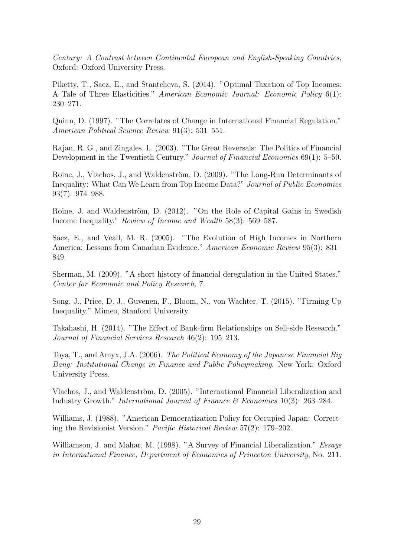Century: A Contrast between Continental European and English-Speaking Countries, Oxford: Oxford University Press.

Piketty, T., Saez, E., and Stantcheva, S. (2014). "Optimal Taxation of Top Incomes: A Tale of Three Elasticities." American Economic Journal: Economic Policy 6(1): 230–271.

Quinn, D. (1997). "The Correlates of Change in International Financial Regulation." American Political Science Review 91(3): 531–551.

Rajan, R. G., and Zingales, L. (2003). "The Great Reversals: The Politics of Financial Development in the Twentieth Century." Journal of Financial Economics 69(1): 5–50.

Roine, J., Vlachos, J., and Waldenström, D. (2009). "The Long-Run Determinants of Inequality: What Can We Learn from Top Income Data?" Journal of Public Economics 93(7): 974–988.

Roine, J. and Waldenström, D. (2012). "On the Role of Capital Gains in Swedish Income Inequality." Review of Income and Wealth 58(3): 569–587.

Saez, E., and Veall, M. R. (2005). "The Evolution of High Incomes in Northern America: Lessons from Canadian Evidence." American Economic Review 95(3): 831– 849.

Sherman, M. (2009). "A short history of financial deregulation in the United States." Center for Economic and Policy Research, 7.

Song, J., Price, D. J., Guvenen, F., Bloom, N., von Wachter, T. (2015). "Firming Up Inequality." Mimeo, Stanford University.

Takahashi, H. (2014). "The Effect of Bank-firm Relationships on Sell-side Research." Journal of Financial Services Research 46(2): 195–213.

Toya, T., and Amyx, J.A. (2006). The Political Economy of the Japanese Financial Big Bang: Institutional Change in Finance and Public Policymaking. New York: Oxford University Press.

Vlachos, J., and Waldenström, D. (2005). "International Financial Liberalization and Industry Growth." International Journal of Finance  $\mathcal B$  Economics 10(3): 263–284.

Williams, J. (1988). "American Democratization Policy for Occupied Japan: Correcting the Revisionist Version." Pacific Historical Review 57(2): 179–202.

Williamson, J. and Mahar, M. (1998). "A Survey of Financial Liberalization." Essays in International Finance, Department of Economics of Princeton University, No. 211.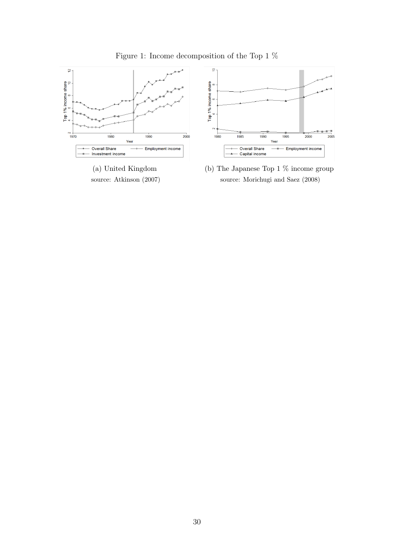

Figure 1: Income decomposition of the Top 1  $\%$ 

(a) United Kingdom source: Atkinson (2007)



 $\frac{1}{2005}$ 

 $2000$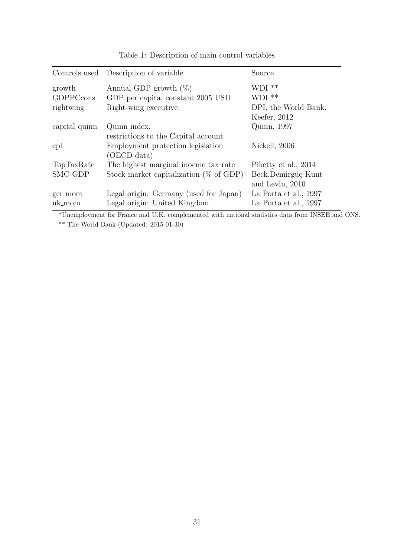|                          | Controls used Description of variable     | Source                |
|--------------------------|-------------------------------------------|-----------------------|
| growth                   | Annual GDP growth $(\%)$                  | $WDI**$               |
| GDPPCcons                | GDP per capita, constant 2005 USD         | $WDI**$               |
| rightwing                | Right-wing executive                      | DPI, the World Bank.  |
|                          |                                           | Keefer, 2012          |
| capital <sub>quinn</sub> | Quinn index,                              | Quinn, 1997           |
|                          | restrictions to the Capital account       |                       |
| epl                      | Employment protection legislation         | Nickell, 2006         |
|                          | (OECD data)                               |                       |
| TopTaxRate               | The highest marginal inocme tax rate      | Piketty et al., 2014  |
| SMC <sub>-GDP</sub>      | Stock market capitalization $(\%$ of GDP) | Beck, Demirgüç-Kunt   |
|                          |                                           | and Levin, 2010       |
| ger_mom                  | Legal origin: Germany (used for Japan)    | La Porta et al., 1997 |
| uk_mom                   | Legal origin: United Kingdom              | La Porta et al., 1997 |

Table 1: Description of main control variables

\*Unemployment for France and U.K. complemented with national statistics data from INSEE and ONS.  $**$  The World Bank (Updated: 2015-01-30)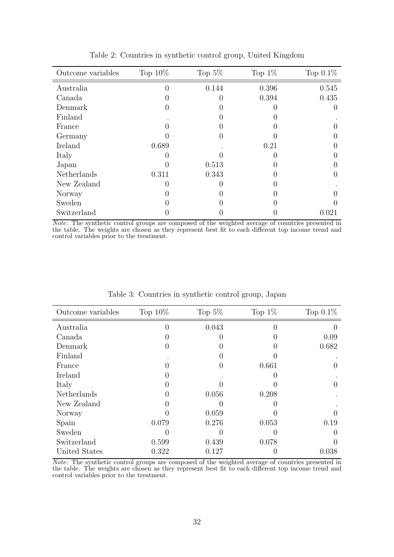| Outcome variables | Top $10\%$ | Top $5\%$ | Top $1\%$ | Top $0.1\%$ |
|-------------------|------------|-----------|-----------|-------------|
| Australia         |            | 0.144     | 0.396     | 0.545       |
| Canada            |            |           | 0.394     | 0.435       |
| Denmark           |            |           |           |             |
| Finland           |            |           |           |             |
| France            |            |           |           |             |
| Germany           |            |           |           |             |
| Ireland           | 0.689      |           | 0.21      |             |
| Italy             |            |           |           |             |
| Japan             |            | 0.513     |           |             |
| Netherlands       | 0.311      | 0.343     |           |             |
| New Zealand       |            |           |           |             |
| Norway            |            |           |           |             |
| Sweden            |            |           |           |             |
| Switzerland       |            |           |           | 0.021       |

Table 2: Countries in synthetic control group, United Kingdom

Note: The synthetic control groups are composed of the weighted average of countries presented in the table. The weights are chosen as they represent best fit to each different top income trend and control variables prior to the treatment.

| Outcome variables | Top $10\%$ | Top $5\%$ | Top $1\%$ | Top $0.1\%$ |
|-------------------|------------|-----------|-----------|-------------|
| Australia         |            | 0.043     |           |             |
| Canada            |            |           |           | 0.09        |
| Denmark           |            |           |           | 0.682       |
| Finland           |            |           |           |             |
| France            |            |           | 0.661     |             |
| Ireland           |            |           |           |             |
| Italy             |            |           |           |             |
| Netherlands       |            | 0.056     | 0.208     |             |
| New Zealand       |            |           |           |             |
| Norway            |            | 0.059     |           |             |
| Spain             | 0.079      | 0.276     | 0.053     | 0.19        |
| Sweden            |            |           |           |             |
| Switzerland       | 0.599      | 0.439     | 0.078     |             |
| United States     | 0.322      | 0.127     | 0         | 0.038       |

Table 3: Countries in synthetic control group, Japan

Note: The synthetic control groups are composed of the weighted average of countries presented in the table. The weights are chosen as they represent best fit to each different top income trend and control variables prior to the treatment.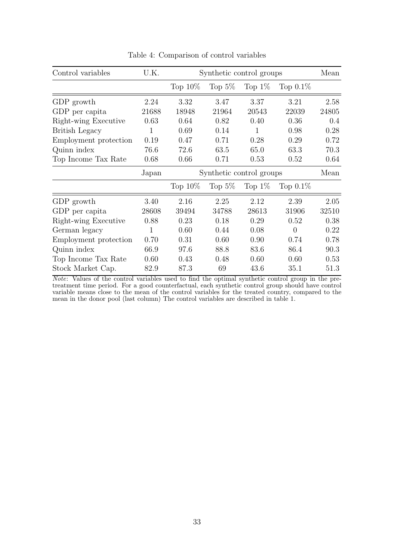| Control variables     | U.K.  | Synthetic control groups |           |           |             | Mean  |
|-----------------------|-------|--------------------------|-----------|-----------|-------------|-------|
|                       |       | Top $10\%$               | Top $5\%$ | Top $1\%$ | Top $0.1\%$ |       |
| GDP growth            | 2.24  | 3.32                     | 3.47      | 3.37      | 3.21        | 2.58  |
| GDP per capita        | 21688 | 18948                    | 21964     | 20543     | 22039       | 24805 |
| Right-wing Executive  | 0.63  | 0.64                     | 0.82      | 0.40      | 0.36        | 0.4   |
| <b>British Legacy</b> | 1     | 0.69                     | 0.14      | 1         | 0.98        | 0.28  |
| Employment protection | 0.19  | 0.47                     | 0.71      | 0.28      | 0.29        | 0.72  |
| Quinn index           | 76.6  | 72.6                     | 63.5      | 65.0      | 63.3        | 70.3  |
| Top Income Tax Rate   | 0.68  | 0.66                     | 0.71      | 0.53      | 0.52        | 0.64  |
|                       | Japan | Synthetic control groups |           |           | Mean        |       |
|                       |       | Top $10\%$               | Top $5\%$ | Top $1\%$ | Top $0.1\%$ |       |
| GDP growth            | 3.40  | 2.16                     | 2.25      | 2.12      | 2.39        | 2.05  |
| GDP per capita        | 28608 | 39494                    | 34788     | 28613     | 31906       | 32510 |
| Right-wing Executive  | 0.88  | 0.23                     | 0.18      | 0.29      | 0.52        | 0.38  |
| German legacy         | 1     | 0.60                     | 0.44      | 0.08      | $\theta$    | 0.22  |
| Employment protection | 0.70  | 0.31                     | 0.60      | 0.90      | 0.74        | 0.78  |
| Quinn index           | 66.9  | 97.6                     | 88.8      | 83.6      | 86.4        | 90.3  |
| Top Income Tax Rate   | 0.60  | 0.43                     | 0.48      | 0.60      | 0.60        | 0.53  |
| Stock Market Cap.     | 82.9  | 87.3                     | 69        | 43.6      | 35.1        | 51.3  |

Table 4: Comparison of control variables

Note: Values of the control variables used to find the optimal synthetic control group in the pretreatment time period. For a good counterfactual, each synthetic control group should have control variable means close to the mean of the control variables for the treated country, compared to the mean in the donor pool (last column) The control variables are described in table 1.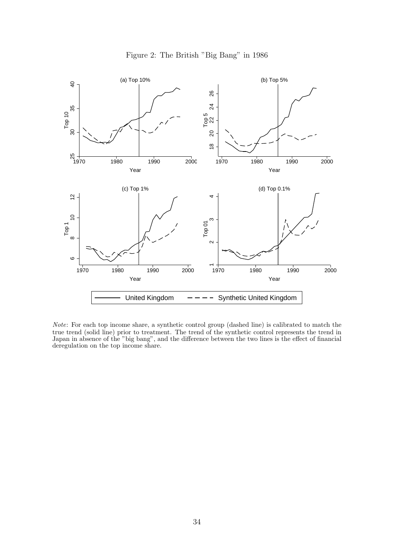

Figure 2: The British "Big Bang" in 1986

Note: For each top income share, a synthetic control group (dashed line) is calibrated to match the true trend (solid line) prior to treatment. The trend of the synthetic control represents the trend in Japan in absence of the "big bang", and the difference between the two lines is the effect of financial deregulation on the top income share.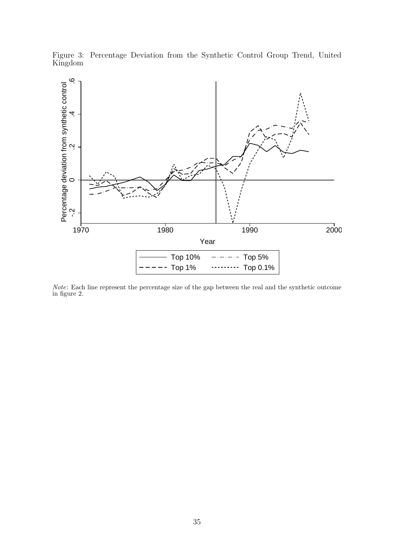

Figure 3: Percentage Deviation from the Synthetic Control Group Trend, United Kingdom

Note: Each line represent the percentage size of the gap between the real and the synthetic outcome in figure 2.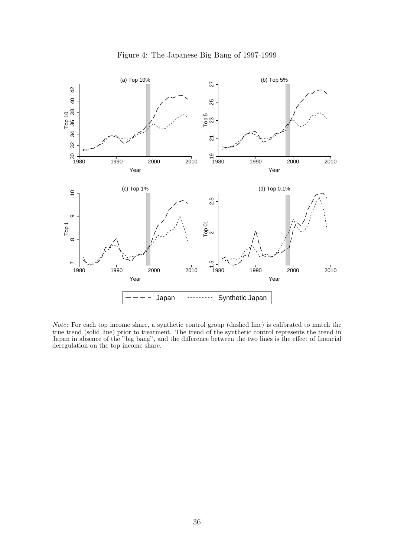

Figure 4: The Japanese Big Bang of 1997-1999

Note: For each top income share, a synthetic control group (dashed line) is calibrated to match the true trend (solid line) prior to treatment. The trend of the synthetic control represents the trend in Japan in absence of the "big bang", and the difference between the two lines is the effect of financial deregulation on the top income share.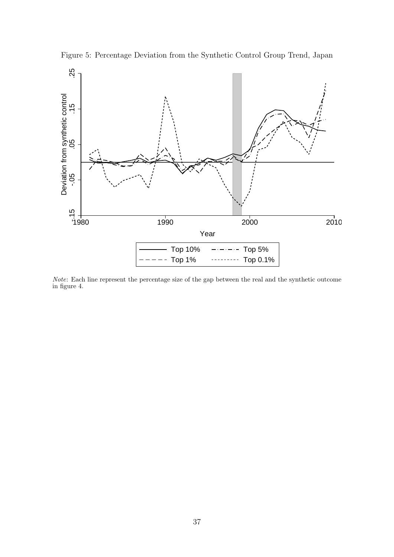

Figure 5: Percentage Deviation from the Synthetic Control Group Trend, Japan

Note: Each line represent the percentage size of the gap between the real and the synthetic outcome in figure 4.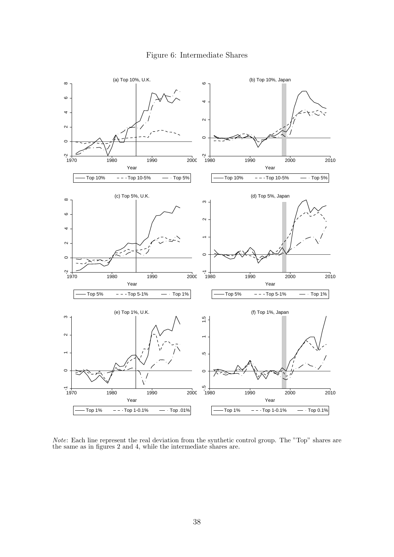



Note: Each line represent the real deviation from the synthetic control group. The "Top" shares are the same as in figures 2 and 4, while the intermediate shares are.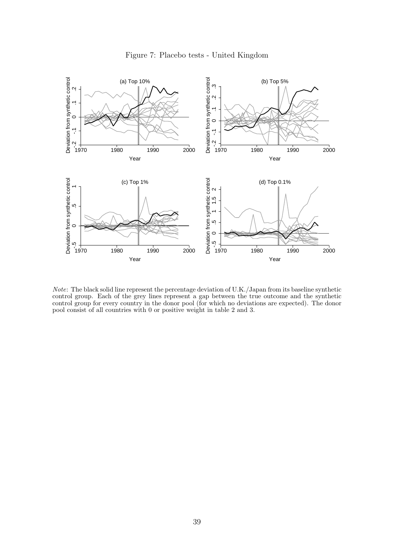

Figure 7: Placebo tests - United Kingdom

Note: The black solid line represent the percentage deviation of U.K./Japan from its baseline synthetic control group. Each of the grey lines represent a gap between the true outcome and the synthetic control group for every country in the donor pool (for which no deviations are expected). The donor pool consist of all countries with 0 or positive weight in table 2 and 3.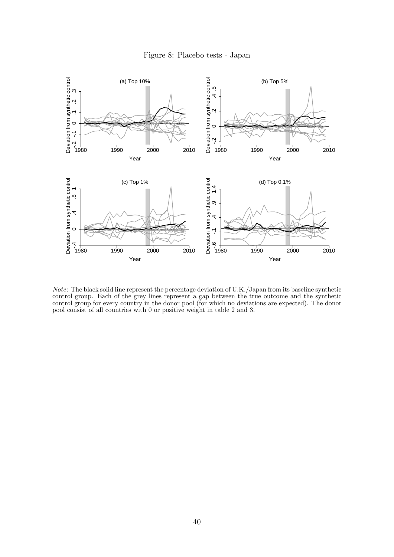



Note: The black solid line represent the percentage deviation of U.K./Japan from its baseline synthetic control group. Each of the grey lines represent a gap between the true outcome and the synthetic control group for every country in the donor pool (for which no deviations are expected). The donor pool consist of all countries with 0 or positive weight in table 2 and 3.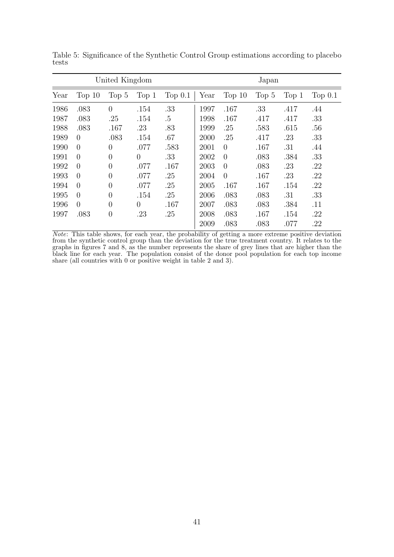|      |          | United Kingdom   |                |           | Japan |                |         |       |           |  |  |
|------|----------|------------------|----------------|-----------|-------|----------------|---------|-------|-----------|--|--|
| Year | Top $10$ | Top 5            | Top 1          | Top $0.1$ | Year  | Top $10$       | Top $5$ | Top 1 | Top $0.1$ |  |  |
| 1986 | .083     | $\Omega$         | .154           | .33       | 1997  | .167           | .33     | .417  | .44       |  |  |
| 1987 | .083     | .25              | .154           | .5        | 1998  | .167           | .417    | .417  | .33       |  |  |
| 1988 | .083     | .167             | .23            | .83       | 1999  | .25            | .583    | .615  | .56       |  |  |
| 1989 | $\Omega$ | .083             | .154           | .67       | 2000  | .25            | .417    | .23   | .33       |  |  |
| 1990 | $\Omega$ | $\theta$         | .077           | .583      | 2001  | $\overline{0}$ | .167    | .31   | .44       |  |  |
| 1991 | $\Omega$ | $\theta$         | $\theta$       | .33       | 2002  | $\Omega$       | .083    | .384  | .33       |  |  |
| 1992 | $\Omega$ | $\theta$         | .077           | .167      | 2003  | $\Omega$       | .083    | .23   | .22       |  |  |
| 1993 | $\Omega$ | $\left( \right)$ | .077           | .25       | 2004  | $\Omega$       | .167    | .23   | .22       |  |  |
| 1994 | $\Omega$ | $\theta$         | .077           | .25       | 2005  | .167           | .167    | .154  | .22       |  |  |
| 1995 | $\Omega$ | 0                | .154           | .25       | 2006  | .083           | .083    | .31   | .33       |  |  |
| 1996 | $\Omega$ | $\left( \right)$ | $\overline{0}$ | .167      | 2007  | .083           | .083    | .384  | .11       |  |  |
| 1997 | .083     | $\overline{0}$   | .23            | .25       | 2008  | .083           | .167    | .154  | .22       |  |  |
|      |          |                  |                |           | 2009  | .083           | .083    | .077  | .22       |  |  |

Table 5: Significance of the Synthetic Control Group estimations according to placebo tests

Note: This table shows, for each year, the probability of getting a more extreme positive deviation from the synthetic control group than the deviation for the true treatment country. It relates to the graphs in figures 7 and 8, as the number represents the share of grey lines that are higher than the black line for each year. The population consist of the donor pool population for each top income share (all countries with 0 or positive weight in table 2 and 3).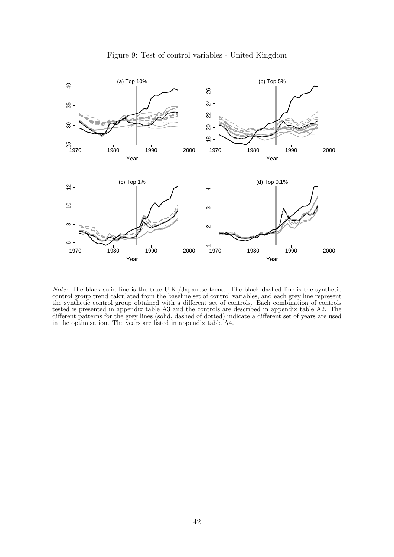

Figure 9: Test of control variables - United Kingdom

Note: The black solid line is the true U.K./Japanese trend. The black dashed line is the synthetic control group trend calculated from the baseline set of control variables, and each grey line represent the synthetic control group obtained with a different set of controls. Each combination of controls tested is presented in appendix table A3 and the controls are described in appendix table A2. The different patterns for the grey lines (solid, dashed of dotted) indicate a different set of years are used in the optimisation. The years are listed in appendix table A4.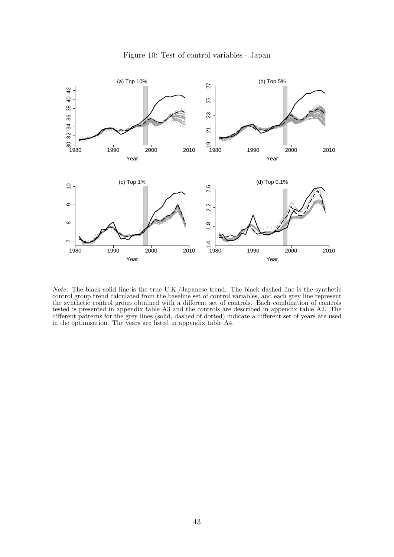

Figure 10: Test of control variables - Japan

Note: The black solid line is the true U.K./Japanese trend. The black dashed line is the synthetic control group trend calculated from the baseline set of control variables, and each grey line represent the synthetic control group obtained with a different set of controls. Each combination of controls tested is presented in appendix table A3 and the controls are described in appendix table A2. The different patterns for the grey lines (solid, dashed of dotted) indicate a different set of years are used in the optimisation. The years are listed in appendix table A4.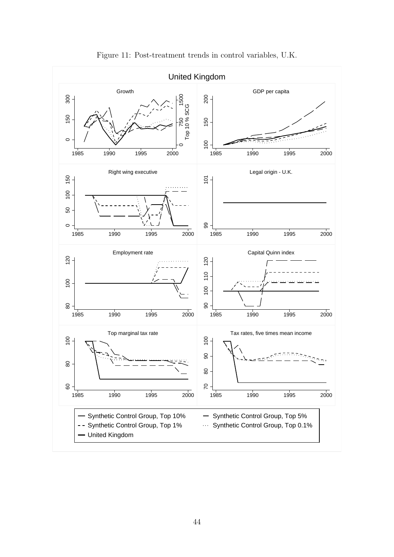

Figure 11: Post-treatment trends in control variables, U.K.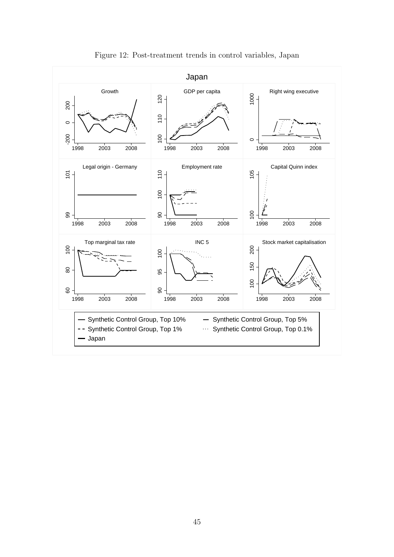

Figure 12: Post-treatment trends in control variables, Japan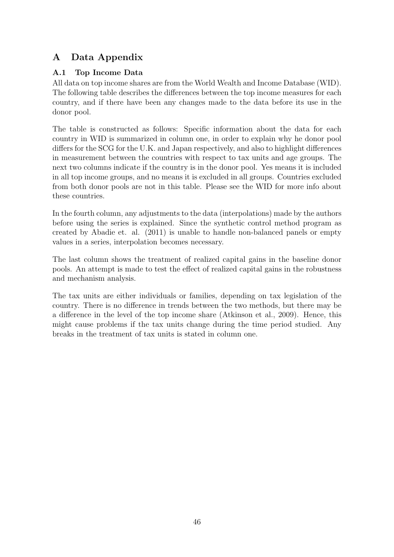# A Data Appendix

# A.1 Top Income Data

All data on top income shares are from the World Wealth and Income Database (WID). The following table describes the differences between the top income measures for each country, and if there have been any changes made to the data before its use in the donor pool.

The table is constructed as follows: Specific information about the data for each country in WID is summarized in column one, in order to explain why he donor pool differs for the SCG for the U.K. and Japan respectively, and also to highlight differences in measurement between the countries with respect to tax units and age groups. The next two columns indicate if the country is in the donor pool. Yes means it is included in all top income groups, and no means it is excluded in all groups. Countries excluded from both donor pools are not in this table. Please see the WID for more info about these countries.

In the fourth column, any adjustments to the data (interpolations) made by the authors before using the series is explained. Since the synthetic control method program as created by Abadie et. al. (2011) is unable to handle non-balanced panels or empty values in a series, interpolation becomes necessary.

The last column shows the treatment of realized capital gains in the baseline donor pools. An attempt is made to test the effect of realized capital gains in the robustness and mechanism analysis.

The tax units are either individuals or families, depending on tax legislation of the country. There is no difference in trends between the two methods, but there may be a difference in the level of the top income share (Atkinson et al., 2009). Hence, this might cause problems if the tax units change during the time period studied. Any breaks in the treatment of tax units is stated in column one.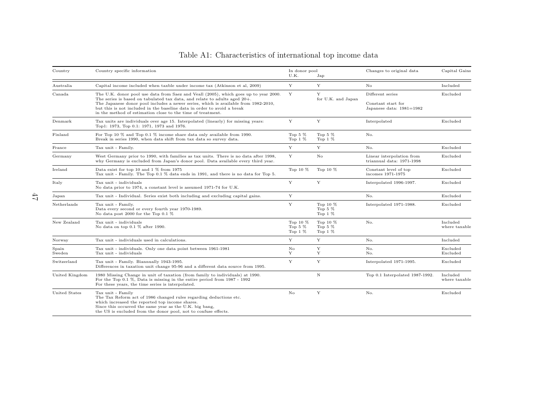| Country         | Country specific information                                                                                                                                                                                                                                                                                                                                                                       | In donor pool<br>U.K.                | Jap                                  | Changes to original data                                           | Capital Gains             |
|-----------------|----------------------------------------------------------------------------------------------------------------------------------------------------------------------------------------------------------------------------------------------------------------------------------------------------------------------------------------------------------------------------------------------------|--------------------------------------|--------------------------------------|--------------------------------------------------------------------|---------------------------|
| Australia       | Capital income included when taxble under income tax (Atkinson et al, 2009)                                                                                                                                                                                                                                                                                                                        | Y                                    | Y                                    | No                                                                 | Included                  |
| Canada          | The U.K. donor pool use data from Saez and Veall (2005), which goes up to year 2000.<br>The series is based on tabulated tax data, and relate to adults aged 20+.<br>The Japanese donor pool includes a newer series, which is available from 1982-2010,<br>but this is not included in the baseline data in order to avoid a break<br>in the method of estimation close to the time of treatment. | Y                                    | Y<br>for U.K. and Japan              | Different series<br>Constant start for<br>Japanese data: 1981=1982 | Excluded                  |
| Denmark         | Tax units are individuals over age 15. Interpolated (linearly) for missing years:<br>Top1: 1973, Top 0.1: 1971, 1973 and 1976.                                                                                                                                                                                                                                                                     | Y                                    | Y                                    | Interpolated                                                       | Excluded                  |
| Finland         | For Top 10 $\%$ and Top 0.1 $\%$ income share data only available from 1990.<br>Break in series 1990, when data shift from tax data so survey data.                                                                                                                                                                                                                                                | Top 5 $%$<br>Top $1\%$               | Top 5 $%$<br>Top $1\%$               | No.                                                                |                           |
| France          | Tax unit - Family.                                                                                                                                                                                                                                                                                                                                                                                 | Y                                    | Y                                    | No.                                                                | Excluded                  |
| Germany         | West Germany prior to 1990, with families as tax units. There is no data after 1998,<br>why Germany is excluded from Japan's donor pool. Data available every third year.                                                                                                                                                                                                                          | Y                                    | No                                   | Linear interpolation from<br>triannual data: 1971-1998             | Excluded                  |
| Ireland         | Data exist for top 10 and 1 $\%$ from 1975<br>Tax unit - Family. The Top 0.1 % data ends in 1991, and there is no data for Top 5.                                                                                                                                                                                                                                                                  | Top 10 %                             | Top 10 $%$                           | Constant level of top<br>incomes 1971-1975                         | Excluded                  |
| Italy           | Tax unit - individuals<br>No data prior to 1974, a constant level is assumed 1971-74 for U.K.                                                                                                                                                                                                                                                                                                      | Y                                    | Y                                    | Interpolated 1996-1997.                                            | Excluded                  |
| Japan           | Tax unit - Individual. Series exist both including and excluding capital gains.                                                                                                                                                                                                                                                                                                                    | Y                                    |                                      | No.                                                                | Excluded                  |
| Netherlands     | Tax unit - Family.<br>Data every second or every fourth year 1970-1989.<br>No data post 2000 for the Top 0.1 $%$                                                                                                                                                                                                                                                                                   | $\mathbf Y$                          | Top 10 %<br>Top 5 $%$<br>Top $1\%$   | Interpolated 1971-1988.                                            | Excluded                  |
| New Zealand     | Tax unit - individuals<br>No data on top 0.1 % after 1990.                                                                                                                                                                                                                                                                                                                                         | Top 10 $%$<br>Top 5 $%$<br>Top $1\%$ | Top 10 $%$<br>Top 5 $%$<br>Top $1\%$ | No.                                                                | Included<br>where taxable |
| Norway          | Tax unit - individuals used in calculations.                                                                                                                                                                                                                                                                                                                                                       | Y                                    | Y                                    | No.                                                                | Included                  |
| Spain<br>Sweden | Tax unit - individuals. Only one data point between 1961-1981<br>Tax unit - individuals                                                                                                                                                                                                                                                                                                            | $\rm No$<br>Y                        | Y<br>Y                               | No.<br>No.                                                         | Excluded<br>Excluded      |
| Switzerland     | Tax unit - Family. Biannually 1943-1995.<br>Differences in taxation unit change 95-96 and a different data source from 1995.                                                                                                                                                                                                                                                                       | Y                                    | Y                                    | Interpolated 1971-1995.                                            | Excluded                  |
| United Kingdom  | 1980 Missing Change in unit of taxation (from family to individuals) at 1990.<br>For the Top 0.1 $\%$ , Data is missing in the entire period from 1987 - 1992<br>For these years, the time series is interpolated.                                                                                                                                                                                 |                                      | $\mathbf N$                          | Top 0.1 Interpolated 1987-1992.                                    | Included<br>where taxable |
| United States   | Tax unit - Family<br>The Tax Reform act of 1986 changed rules regarding deductions etc.<br>which increased the reported top income shares.<br>Since this occurred the same year as the U.K. big bang,<br>the US is excluded from the donor pool, not to confuse effects.                                                                                                                           | No                                   | Y                                    | No.                                                                | Excluded                  |

# Table A1: Characteristics of international top income data

 $L_{\rm F}$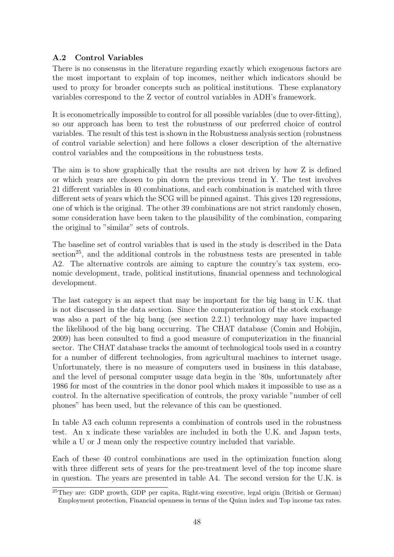## A.2 Control Variables

There is no consensus in the literature regarding exactly which exogenous factors are the most important to explain of top incomes, neither which indicators should be used to proxy for broader concepts such as political institutions. These explanatory variables correspond to the Z vector of control variables in ADH's framework.

It is econometrically impossible to control for all possible variables (due to over-fitting), so our approach has been to test the robustness of our preferred choice of control variables. The result of this test is shown in the Robustness analysis section (robustness of control variable selection) and here follows a closer description of the alternative control variables and the compositions in the robustness tests.

The aim is to show graphically that the results are not driven by how Z is defined or which years are chosen to pin down the previous trend in Y. The test involves 21 different variables in 40 combinations, and each combination is matched with three different sets of years which the SCG will be pinned against. This gives 120 regressions, one of which is the original. The other 39 combinations are not strict randomly chosen, some consideration have been taken to the plausibility of the combination, comparing the original to "similar" sets of controls.

The baseline set of control variables that is used in the study is described in the Data section<sup>25</sup>, and the additional controls in the robustness tests are presented in table A2. The alternative controls are aiming to capture the country's tax system, economic development, trade, political institutions, financial openness and technological development.

The last category is an aspect that may be important for the big bang in U.K. that is not discussed in the data section. Since the computerization of the stock exchange was also a part of the big bang (see section 2.2.1) technology may have impacted the likelihood of the big bang occurring. The CHAT database (Comin and Hobijin, 2009) has been consulted to find a good measure of computerization in the financial sector. The CHAT database tracks the amount of technological tools used in a country for a number of different technologies, from agricultural machines to internet usage. Unfortunately, there is no measure of computers used in business in this database, and the level of personal computer usage data begin in the '80s, unfortunately after 1986 for most of the countries in the donor pool which makes it impossible to use as a control. In the alternative specification of controls, the proxy variable "number of cell phones" has been used, but the relevance of this can be questioned.

In table A3 each column represents a combination of controls used in the robustness test. An x indicate these variables are included in both the U.K. and Japan tests, while a U or J mean only the respective country included that variable.

Each of these 40 control combinations are used in the optimization function along with three different sets of years for the pre-treatment level of the top income share in question. The years are presented in table A4. The second version for the U.K. is

 $^{25}$ They are: GDP growth, GDP per capita, Right-wing executive, legal origin (British or German) Employment protection, Financial openness in terms of the Quinn index and Top income tax rates.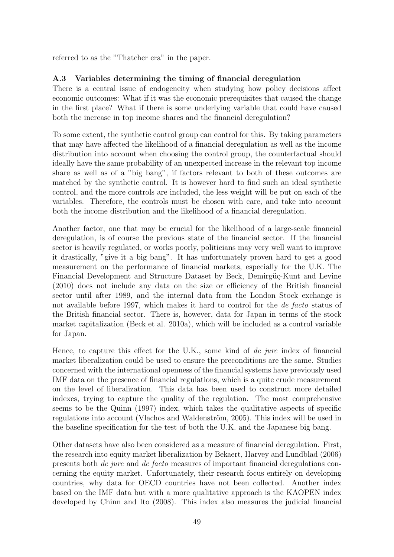referred to as the "Thatcher era" in the paper.

### A.3 Variables determining the timing of financial deregulation

There is a central issue of endogeneity when studying how policy decisions affect economic outcomes: What if it was the economic prerequisites that caused the change in the first place? What if there is some underlying variable that could have caused both the increase in top income shares and the financial deregulation?

To some extent, the synthetic control group can control for this. By taking parameters that may have affected the likelihood of a financial deregulation as well as the income distribution into account when choosing the control group, the counterfactual should ideally have the same probability of an unexpected increase in the relevant top income share as well as of a "big bang", if factors relevant to both of these outcomes are matched by the synthetic control. It is however hard to find such an ideal synthetic control, and the more controls are included, the less weight will be put on each of the variables. Therefore, the controls must be chosen with care, and take into account both the income distribution and the likelihood of a financial deregulation.

Another factor, one that may be crucial for the likelihood of a large-scale financial deregulation, is of course the previous state of the financial sector. If the financial sector is heavily regulated, or works poorly, politicians may very well want to improve it drastically, "give it a big bang". It has unfortunately proven hard to get a good measurement on the performance of financial markets, especially for the U.K. The Financial Development and Structure Dataset by Beck, Demirgüç-Kunt and Levine (2010) does not include any data on the size or efficiency of the British financial sector until after 1989, and the internal data from the London Stock exchange is not available before 1997, which makes it hard to control for the *de facto* status of the British financial sector. There is, however, data for Japan in terms of the stock market capitalization (Beck et al. 2010a), which will be included as a control variable for Japan.

Hence, to capture this effect for the U.K., some kind of de jure index of financial market liberalization could be used to ensure the preconditions are the same. Studies concerned with the international openness of the financial systems have previously used IMF data on the presence of financial regulations, which is a quite crude measurement on the level of liberalization. This data has been used to construct more detailed indexes, trying to capture the quality of the regulation. The most comprehensive seems to be the Quinn (1997) index, which takes the qualitative aspects of specific regulations into account (Vlachos and Waldenström, 2005). This index will be used in the baseline specification for the test of both the U.K. and the Japanese big bang.

Other datasets have also been considered as a measure of financial deregulation. First, the research into equity market liberalization by Bekaert, Harvey and Lundblad (2006) presents both de jure and de facto measures of important financial deregulations concerning the equity market. Unfortunately, their research focus entirely on developing countries, why data for OECD countries have not been collected. Another index based on the IMF data but with a more qualitative approach is the KAOPEN index developed by Chinn and Ito (2008). This index also measures the judicial financial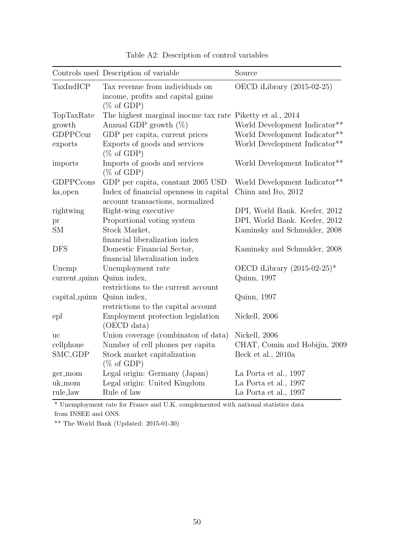| TaxIndICP<br>Tax revenue from individuals on<br>OECD iLibrary (2015-02-25)<br>income, profits and capital gains<br>$(\% \text{ of GDP})$<br>The highest marginal inocme tax rate Piketty et al., 2014<br>TopTaxRate<br>Annual GDP growth $(\%)$<br>World Development Indicator**<br>growth<br>GDPPCcur<br>GDP per capita, current prices<br>Exports of goods and services<br>exports<br>$(\% \text{ of GDP})$<br>Imports of goods and services<br>imports<br>$(\% \text{ of GDP})$<br>GDPPCcons<br>GDP per capita, constant 2005 USD<br>Index of financial openness in capital<br>Chinn and Ito, 2012<br>ka_open<br>account transactions, normalized<br>Right-wing executive<br>rightwing<br>Proportional voting system<br>$\operatorname{pr}$<br>Stock Market,<br><b>SM</b><br>financial liberalization index<br><b>DFS</b><br>Domestic Financial Sector,<br>financial liberalization index<br>OECD iLibrary $(2015-02-25)^*$<br>Unemployment rate<br>Unemp<br>current_quinn Quinn index,<br>Quinn, 1997<br>restrictions to the current account<br>capital_quinn Quinn index,<br>Quinn, 1997<br>restrictions to the capital account<br>Employment protection legislation<br>Nickell, 2006<br>epl<br>(OECD data)<br>Union coverage (combination of data)<br>Nickell, 2006<br>uc<br>Number of cell phones per capita<br>cellphone<br>SMC_GDP<br>Stock market capitalization<br>Beck et al., 2010a<br>$(\% \text{ of GDP})$<br>Legal origin: Germany (Japan)<br>La Porta et al., 1997<br>ger_mom<br>uk_mom<br>Legal origin: United Kingdom<br>La Porta et al., 1997 |          | Controls used Description of variable | Source                                    |
|-------------------------------------------------------------------------------------------------------------------------------------------------------------------------------------------------------------------------------------------------------------------------------------------------------------------------------------------------------------------------------------------------------------------------------------------------------------------------------------------------------------------------------------------------------------------------------------------------------------------------------------------------------------------------------------------------------------------------------------------------------------------------------------------------------------------------------------------------------------------------------------------------------------------------------------------------------------------------------------------------------------------------------------------------------------------------------------------------------------------------------------------------------------------------------------------------------------------------------------------------------------------------------------------------------------------------------------------------------------------------------------------------------------------------------------------------------------------------------------------------------------------------------------------------------------------|----------|---------------------------------------|-------------------------------------------|
|                                                                                                                                                                                                                                                                                                                                                                                                                                                                                                                                                                                                                                                                                                                                                                                                                                                                                                                                                                                                                                                                                                                                                                                                                                                                                                                                                                                                                                                                                                                                                                   |          |                                       |                                           |
|                                                                                                                                                                                                                                                                                                                                                                                                                                                                                                                                                                                                                                                                                                                                                                                                                                                                                                                                                                                                                                                                                                                                                                                                                                                                                                                                                                                                                                                                                                                                                                   |          |                                       |                                           |
|                                                                                                                                                                                                                                                                                                                                                                                                                                                                                                                                                                                                                                                                                                                                                                                                                                                                                                                                                                                                                                                                                                                                                                                                                                                                                                                                                                                                                                                                                                                                                                   |          |                                       |                                           |
|                                                                                                                                                                                                                                                                                                                                                                                                                                                                                                                                                                                                                                                                                                                                                                                                                                                                                                                                                                                                                                                                                                                                                                                                                                                                                                                                                                                                                                                                                                                                                                   |          |                                       | World Development Indicator**             |
|                                                                                                                                                                                                                                                                                                                                                                                                                                                                                                                                                                                                                                                                                                                                                                                                                                                                                                                                                                                                                                                                                                                                                                                                                                                                                                                                                                                                                                                                                                                                                                   |          |                                       | World Development Indicator**             |
|                                                                                                                                                                                                                                                                                                                                                                                                                                                                                                                                                                                                                                                                                                                                                                                                                                                                                                                                                                                                                                                                                                                                                                                                                                                                                                                                                                                                                                                                                                                                                                   |          |                                       | World Development Indicator**             |
|                                                                                                                                                                                                                                                                                                                                                                                                                                                                                                                                                                                                                                                                                                                                                                                                                                                                                                                                                                                                                                                                                                                                                                                                                                                                                                                                                                                                                                                                                                                                                                   |          |                                       | World Development Indicator <sup>**</sup> |
|                                                                                                                                                                                                                                                                                                                                                                                                                                                                                                                                                                                                                                                                                                                                                                                                                                                                                                                                                                                                                                                                                                                                                                                                                                                                                                                                                                                                                                                                                                                                                                   |          |                                       |                                           |
|                                                                                                                                                                                                                                                                                                                                                                                                                                                                                                                                                                                                                                                                                                                                                                                                                                                                                                                                                                                                                                                                                                                                                                                                                                                                                                                                                                                                                                                                                                                                                                   |          |                                       | DPI, World Bank. Keefer, 2012             |
|                                                                                                                                                                                                                                                                                                                                                                                                                                                                                                                                                                                                                                                                                                                                                                                                                                                                                                                                                                                                                                                                                                                                                                                                                                                                                                                                                                                                                                                                                                                                                                   |          |                                       | DPI, World Bank. Keefer, 2012             |
|                                                                                                                                                                                                                                                                                                                                                                                                                                                                                                                                                                                                                                                                                                                                                                                                                                                                                                                                                                                                                                                                                                                                                                                                                                                                                                                                                                                                                                                                                                                                                                   |          |                                       | Kaminsky and Schmukler, 2008              |
|                                                                                                                                                                                                                                                                                                                                                                                                                                                                                                                                                                                                                                                                                                                                                                                                                                                                                                                                                                                                                                                                                                                                                                                                                                                                                                                                                                                                                                                                                                                                                                   |          |                                       |                                           |
|                                                                                                                                                                                                                                                                                                                                                                                                                                                                                                                                                                                                                                                                                                                                                                                                                                                                                                                                                                                                                                                                                                                                                                                                                                                                                                                                                                                                                                                                                                                                                                   |          |                                       | Kaminsky and Schmukler, 2008              |
|                                                                                                                                                                                                                                                                                                                                                                                                                                                                                                                                                                                                                                                                                                                                                                                                                                                                                                                                                                                                                                                                                                                                                                                                                                                                                                                                                                                                                                                                                                                                                                   |          |                                       |                                           |
|                                                                                                                                                                                                                                                                                                                                                                                                                                                                                                                                                                                                                                                                                                                                                                                                                                                                                                                                                                                                                                                                                                                                                                                                                                                                                                                                                                                                                                                                                                                                                                   |          |                                       |                                           |
|                                                                                                                                                                                                                                                                                                                                                                                                                                                                                                                                                                                                                                                                                                                                                                                                                                                                                                                                                                                                                                                                                                                                                                                                                                                                                                                                                                                                                                                                                                                                                                   |          |                                       |                                           |
|                                                                                                                                                                                                                                                                                                                                                                                                                                                                                                                                                                                                                                                                                                                                                                                                                                                                                                                                                                                                                                                                                                                                                                                                                                                                                                                                                                                                                                                                                                                                                                   |          |                                       |                                           |
|                                                                                                                                                                                                                                                                                                                                                                                                                                                                                                                                                                                                                                                                                                                                                                                                                                                                                                                                                                                                                                                                                                                                                                                                                                                                                                                                                                                                                                                                                                                                                                   |          |                                       |                                           |
|                                                                                                                                                                                                                                                                                                                                                                                                                                                                                                                                                                                                                                                                                                                                                                                                                                                                                                                                                                                                                                                                                                                                                                                                                                                                                                                                                                                                                                                                                                                                                                   |          |                                       |                                           |
|                                                                                                                                                                                                                                                                                                                                                                                                                                                                                                                                                                                                                                                                                                                                                                                                                                                                                                                                                                                                                                                                                                                                                                                                                                                                                                                                                                                                                                                                                                                                                                   |          |                                       |                                           |
|                                                                                                                                                                                                                                                                                                                                                                                                                                                                                                                                                                                                                                                                                                                                                                                                                                                                                                                                                                                                                                                                                                                                                                                                                                                                                                                                                                                                                                                                                                                                                                   |          |                                       |                                           |
|                                                                                                                                                                                                                                                                                                                                                                                                                                                                                                                                                                                                                                                                                                                                                                                                                                                                                                                                                                                                                                                                                                                                                                                                                                                                                                                                                                                                                                                                                                                                                                   |          |                                       |                                           |
|                                                                                                                                                                                                                                                                                                                                                                                                                                                                                                                                                                                                                                                                                                                                                                                                                                                                                                                                                                                                                                                                                                                                                                                                                                                                                                                                                                                                                                                                                                                                                                   |          |                                       | CHAT, Comin and Hobijin, 2009             |
|                                                                                                                                                                                                                                                                                                                                                                                                                                                                                                                                                                                                                                                                                                                                                                                                                                                                                                                                                                                                                                                                                                                                                                                                                                                                                                                                                                                                                                                                                                                                                                   |          |                                       |                                           |
|                                                                                                                                                                                                                                                                                                                                                                                                                                                                                                                                                                                                                                                                                                                                                                                                                                                                                                                                                                                                                                                                                                                                                                                                                                                                                                                                                                                                                                                                                                                                                                   |          |                                       |                                           |
|                                                                                                                                                                                                                                                                                                                                                                                                                                                                                                                                                                                                                                                                                                                                                                                                                                                                                                                                                                                                                                                                                                                                                                                                                                                                                                                                                                                                                                                                                                                                                                   |          |                                       |                                           |
|                                                                                                                                                                                                                                                                                                                                                                                                                                                                                                                                                                                                                                                                                                                                                                                                                                                                                                                                                                                                                                                                                                                                                                                                                                                                                                                                                                                                                                                                                                                                                                   |          |                                       |                                           |
|                                                                                                                                                                                                                                                                                                                                                                                                                                                                                                                                                                                                                                                                                                                                                                                                                                                                                                                                                                                                                                                                                                                                                                                                                                                                                                                                                                                                                                                                                                                                                                   | rule_law | Rule of law                           | La Porta et al., 1997                     |

Table A2: Description of control variables

\* Unemployment rate for France and U.K. complemented with national statistics data from INSEE and ONS.

\*\* The World Bank (Updated: 2015-01-30)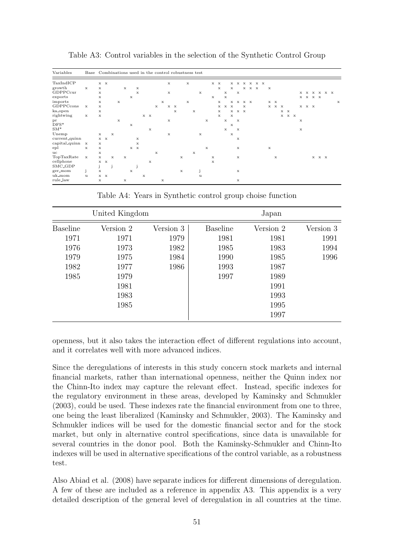| Variables                   | Base Combinations used in the control robustness test |              |                |              |              |              |   |                               |              |                               |             |   |                           |              |   |              |             |   |              |                        |             |             |              |             |       |  |              |                               |             |                               |             |             |             |                    |  |             |
|-----------------------------|-------------------------------------------------------|--------------|----------------|--------------|--------------|--------------|---|-------------------------------|--------------|-------------------------------|-------------|---|---------------------------|--------------|---|--------------|-------------|---|--------------|------------------------|-------------|-------------|--------------|-------------|-------|--|--------------|-------------------------------|-------------|-------------------------------|-------------|-------------|-------------|--------------------|--|-------------|
| TaxIndICP<br>growth         | $\mathbf{x}$                                          | x            | $x \mathbf{x}$ |              |              | $\mathbf x$  |   | $\mathbf x$                   |              |                               |             |   | x                         |              | x |              |             |   |              | $X$ $X$<br>$\mathbf x$ |             | $\mathbf x$ |              | x x x x x x | x x x |  | $\mathbf{x}$ |                               |             |                               |             |             |             |                    |  |             |
| GDPPCcur                    |                                                       | $\mathbf x$  |                |              |              |              |   | $\mathbf x$                   |              |                               |             |   | $\mathbf x$               |              |   |              | $\mathbf x$ |   |              |                        | $\mathbf x$ |             | $\mathbf{x}$ |             |       |  |              |                               |             |                               |             |             |             | <b>x x x x x x</b> |  |             |
| exports                     |                                                       | x            |                |              |              |              | x |                               |              |                               |             |   |                           |              |   |              |             |   | $\mathbf{x}$ |                        | $\mathbf x$ |             |              |             |       |  |              |                               |             |                               |             |             | x x x x     |                    |  |             |
| imports                     |                                                       | x            |                |              | x            |              |   |                               |              |                               |             | x |                           |              | x |              |             |   |              | $\mathbf x$            |             |             |              | x x x x     |       |  |              | $\mathbf{x} \quad \mathbf{x}$ |             |                               |             |             |             |                    |  | $\mathbf x$ |
| GDPPCcons                   | $\mathbf{x}$                                          | $\mathbf{x}$ |                |              |              |              |   |                               |              |                               | $\mathbf x$ |   | $\mathbf{x} - \mathbf{x}$ |              |   |              |             |   |              |                        |             | $X$ $X$ $X$ |              | $\mathbf x$ |       |  |              |                               | $X$ $X$ $X$ |                               |             |             | $X$ $X$ $X$ |                    |  |             |
| ka_open                     |                                                       | $\mathbf x$  |                |              |              |              |   |                               |              |                               |             |   |                           | $\mathbf x$  |   | $\mathbf x$  |             |   |              | $\mathbf x$            |             |             | x x x        |             |       |  |              |                               |             | $\mathbf{x} \quad \mathbf{x}$ |             |             |             |                    |  |             |
| rightwing                   | $\mathbf x$                                           | $\mathbf{x}$ |                |              |              |              |   |                               |              | $\mathbf{x} \quad \mathbf{x}$ |             |   |                           |              |   |              |             |   |              | $\mathbf x$            |             | x           |              |             |       |  |              |                               |             |                               | $X$ $X$ $X$ |             |             |                    |  |             |
| pr<br>$DFS*$                |                                                       |              |                |              | $\mathbf{x}$ |              | x |                               |              |                               |             |   | x                         |              |   |              |             | x |              |                        | x           | $\mathbf x$ | $\mathbf{x}$ |             |       |  |              |                               |             |                               |             | $\mathbf x$ |             |                    |  |             |
| $SM*$                       |                                                       |              |                |              |              |              |   |                               |              | $\mathbf x$                   |             |   |                           |              |   |              |             |   |              |                        | $\mathbf x$ |             | $\mathbf{x}$ |             |       |  |              |                               |             |                               |             | $\mathbf x$ |             |                    |  |             |
| Unemp                       |                                                       | $\mathbf{x}$ |                | $\mathbf{x}$ |              |              |   |                               |              |                               |             |   | $\mathbf x$               |              |   |              | $\mathbf x$ |   |              |                        |             | $\mathbf x$ |              |             |       |  |              |                               |             |                               |             |             |             |                    |  |             |
| current_quinn               |                                                       |              | $X$ $X$        |              |              |              |   | x                             |              |                               |             |   |                           |              |   |              |             |   |              |                        |             |             | $\mathbf x$  |             |       |  |              |                               |             |                               |             |             |             |                    |  |             |
| capital <sub>-quinn</sub> x |                                                       | $\mathbf{x}$ |                |              |              |              |   | $\mathbf x$                   |              |                               |             |   |                           |              |   |              |             |   |              |                        |             |             |              |             |       |  |              |                               |             |                               |             |             |             |                    |  |             |
| epl                         | x                                                     | $\mathbf x$  |                |              |              |              |   | $\mathbf{x} \quad \mathbf{x}$ |              |                               |             |   |                           |              |   |              |             | x |              |                        |             |             | $\mathbf x$  |             |       |  | $\mathbf x$  |                               |             |                               |             |             |             |                    |  |             |
| uc                          |                                                       | X            |                |              |              |              |   |                               |              |                               | $\mathbf x$ |   |                           |              |   | $\mathbf{x}$ |             |   |              |                        |             |             |              |             |       |  |              |                               |             |                               |             |             |             |                    |  |             |
| TopTaxRate                  | $\mathbf x$                                           | $\mathbf x$  |                | $\mathbf x$  |              | $\mathbf{x}$ |   |                               |              |                               |             |   |                           | $\mathbf{x}$ |   |              |             |   | $\mathbf x$  |                        |             |             | $\mathbf x$  |             |       |  |              | $\mathbf x$                   |             |                               |             |             |             | x x x              |  |             |
| cellphone                   |                                                       |              | $X$ $X$        |              |              |              |   |                               |              | $\mathbf x$                   |             |   |                           |              |   |              |             |   | x            |                        |             |             |              |             |       |  |              |                               |             |                               |             |             |             |                    |  |             |
| SMC <sub>-GDP</sub>         |                                                       | j.           |                | j            |              |              |   | j                             |              |                               |             |   |                           |              |   |              |             |   |              |                        |             |             |              |             |       |  |              |                               |             |                               |             |             |             |                    |  |             |
| ger_mom                     | j                                                     | $\mathbf x$  |                |              |              |              | x |                               |              |                               |             |   |                           | $\mathbf x$  |   |              |             |   |              |                        |             |             | $\mathbf x$  |             |       |  |              |                               |             |                               |             |             |             |                    |  |             |
| uk_mom                      | u                                                     |              | $X$ $X$        |              |              |              |   |                               | $\mathbf{x}$ |                               |             |   |                           |              |   |              | u           |   |              |                        |             |             |              |             |       |  |              |                               |             |                               |             |             |             |                    |  |             |
| rule_law                    |                                                       | x            |                |              |              | $\mathbf x$  |   |                               |              |                               |             | x |                           |              |   |              |             |   |              |                        |             |             | $\mathbf x$  |             |       |  |              |                               |             |                               |             |             |             |                    |  |             |

Table A3: Control variables in the selection of the Synthetic Control Group

Table A4: Years in Synthetic control group choise function

|                 | United Kingdom |           | Japan           |           |           |  |  |  |  |
|-----------------|----------------|-----------|-----------------|-----------|-----------|--|--|--|--|
| <b>Baseline</b> | Version 2      | Version 3 | <b>Baseline</b> | Version 2 | Version 3 |  |  |  |  |
| 1971            | 1971           | 1979      | 1981            | 1981      | 1991      |  |  |  |  |
| 1976            | 1973           | 1982      | 1985            | 1983      | 1994      |  |  |  |  |
| 1979            | 1975           | 1984      | 1990            | 1985      | 1996      |  |  |  |  |
| 1982            | 1977           | 1986      | 1993            | 1987      |           |  |  |  |  |
| 1985            | 1979           |           | 1997            | 1989      |           |  |  |  |  |
|                 | 1981           |           |                 | 1991      |           |  |  |  |  |
|                 | 1983           |           |                 | 1993      |           |  |  |  |  |
|                 | 1985           |           |                 | 1995      |           |  |  |  |  |
|                 |                |           |                 | 1997      |           |  |  |  |  |

openness, but it also takes the interaction effect of different regulations into account, and it correlates well with more advanced indices.

Since the deregulations of interests in this study concern stock markets and internal financial markets, rather than international openness, neither the Quinn index nor the Chinn-Ito index may capture the relevant effect. Instead, specific indexes for the regulatory environment in these areas, developed by Kaminsky and Schmukler (2003), could be used. These indexes rate the financial environment from one to three, one being the least liberalized (Kaminsky and Schmukler, 2003). The Kaminsky and Schmukler indices will be used for the domestic financial sector and for the stock market, but only in alternative control specifications, since data is unavailable for several countries in the donor pool. Both the Kaminsky-Schmukler and Chinn-Ito indexes will be used in alternative specifications of the control variable, as a robustness test.

Also Abiad et al. (2008) have separate indices for different dimensions of deregulation. A few of these are included as a reference in appendix A3. This appendix is a very detailed description of the general level of deregulation in all countries at the time.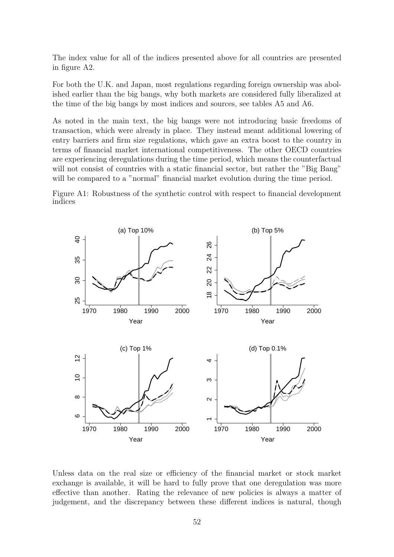The index value for all of the indices presented above for all countries are presented in figure A2.

For both the U.K. and Japan, most regulations regarding foreign ownership was abolished earlier than the big bangs, why both markets are considered fully liberalized at the time of the big bangs by most indices and sources, see tables A5 and A6.

As noted in the main text, the big bangs were not introducing basic freedoms of transaction, which were already in place. They instead meant additional lowering of entry barriers and firm size regulations, which gave an extra boost to the country in terms of financial market international competitiveness. The other OECD countries are experiencing deregulations during the time period, which means the counterfactual will not consist of countries with a static financial sector, but rather the "Big Bang" will be compared to a "normal" financial market evolution during the time period.





Unless data on the real size or efficiency of the financial market or stock market exchange is available, it will be hard to fully prove that one deregulation was more effective than another. Rating the relevance of new policies is always a matter of judgement, and the discrepancy between these different indices is natural, though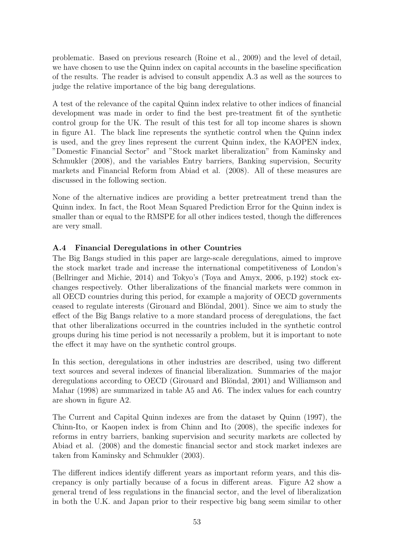problematic. Based on previous research (Roine et al., 2009) and the level of detail, we have chosen to use the Quinn index on capital accounts in the baseline specification of the results. The reader is advised to consult appendix A.3 as well as the sources to judge the relative importance of the big bang deregulations.

A test of the relevance of the capital Quinn index relative to other indices of financial development was made in order to find the best pre-treatment fit of the synthetic control group for the UK. The result of this test for all top income shares is shown in figure A1. The black line represents the synthetic control when the Quinn index is used, and the grey lines represent the current Quinn index, the KAOPEN index, "Domestic Financial Sector" and "Stock market liberalization" from Kaminsky and Schmukler (2008), and the variables Entry barriers, Banking supervision, Security markets and Financial Reform from Abiad et al. (2008). All of these measures are discussed in the following section.

None of the alternative indices are providing a better pretreatment trend than the Quinn index. In fact, the Root Mean Squared Prediction Error for the Quinn index is smaller than or equal to the RMSPE for all other indices tested, though the differences are very small.

### A.4 Financial Deregulations in other Countries

The Big Bangs studied in this paper are large-scale deregulations, aimed to improve the stock market trade and increase the international competitiveness of London's (Bellringer and Michie, 2014) and Tokyo's (Toya and Amyx, 2006, p.192) stock exchanges respectively. Other liberalizations of the financial markets were common in all OECD countries during this period, for example a majority of OECD governments ceased to regulate interests (Girouard and Blöndal, 2001). Since we aim to study the effect of the Big Bangs relative to a more standard process of deregulations, the fact that other liberalizations occurred in the countries included in the synthetic control groups during his time period is not necessarily a problem, but it is important to note the effect it may have on the synthetic control groups.

In this section, deregulations in other industries are described, using two different text sources and several indexes of financial liberalization. Summaries of the major deregulations according to OECD (Girouard and Blöndal, 2001) and Williamson and Mahar (1998) are summarized in table A5 and A6. The index values for each country are shown in figure A2.

The Current and Capital Quinn indexes are from the dataset by Quinn (1997), the Chinn-Ito, or Kaopen index is from Chinn and Ito (2008), the specific indexes for reforms in entry barriers, banking supervision and security markets are collected by Abiad et al. (2008) and the domestic financial sector and stock market indexes are taken from Kaminsky and Schmukler (2003).

The different indices identify different years as important reform years, and this discrepancy is only partially because of a focus in different areas. Figure A2 show a general trend of less regulations in the financial sector, and the level of liberalization in both the U.K. and Japan prior to their respective big bang seem similar to other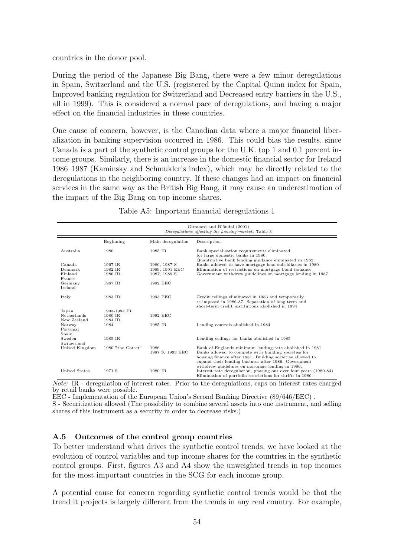countries in the donor pool.

During the period of the Japanese Big Bang, there were a few minor deregulations in Spain, Switzerland and the U.S. (registered by the Capital Quinn index for Spain, Improved banking regulation for Switzerland and Decreased entry barriers in the U.S., all in 1999). This is considered a normal pace of deregulations, and having a major effect on the financial industries in these countries.

One cause of concern, however, is the Canadian data where a major financial liberalization in banking supervision occurred in 1986. This could bias the results, since Canada is a part of the synthetic control groups for the U.K. top 1 and 0.1 percent income groups. Similarly, there is an increase in the domestic financial sector for Ireland 1986–1987 (Kaminsky and Schmukler's index), which may be directly related to the deregulations in the neighboring country. If these changes had an impact on financial services in the same way as the British Big Bang, it may cause an underestimation of the impact of the Big Bang on top income shares.

|  |  | Table A5: Important financial deregulations 1 |  |
|--|--|-----------------------------------------------|--|
|  |  |                                               |  |

|                    |                   |                          | Girouard and Blöndal (2001)<br>Deregulations affecting the housing markets Table 3                                                                                                                                                                                                       |
|--------------------|-------------------|--------------------------|------------------------------------------------------------------------------------------------------------------------------------------------------------------------------------------------------------------------------------------------------------------------------------------|
|                    | Beginning         | Main deregulation        | Description                                                                                                                                                                                                                                                                              |
| Australia          | 1980              | 1985 IR                  | Bank specialisation requirements eliminated<br>for large domestic banks in 1980.<br>Quantitative bank lending guidance eliminated in 1982                                                                                                                                                |
| Canada             | 1967 IR           | 1980, 1987 S             | Banks allowed to have mortgage loan subsidiaries in 1980                                                                                                                                                                                                                                 |
| Denmark            | 1982 IR           | 1989, 1991 EEC           | Elimination of restrictions on mortgage bond issuance                                                                                                                                                                                                                                    |
| Finland<br>France  | 1986 IR           | 1987, 1989 S             | Government withdrew guidelines on mortgage lending in 1987                                                                                                                                                                                                                               |
| Germany<br>Ireland | 1967 IR           | 1992 EEC                 |                                                                                                                                                                                                                                                                                          |
| Italy              | 1983 IR           | 1993 EEC                 | Credit ceilings eliminated in 1983 and temporarily<br>re-imposed in 1986-87. Separation of long-term and<br>short-term credit institutions abolished in 1994                                                                                                                             |
| Japan              | 1993-1994 IR      |                          |                                                                                                                                                                                                                                                                                          |
| Netherlands        | 1980 IR           | 1992 EEC                 |                                                                                                                                                                                                                                                                                          |
| New Zealand        | 1984 IR           |                          |                                                                                                                                                                                                                                                                                          |
| Norway             | 1984              | 1985 IR                  | Lending controls abolished in 1984                                                                                                                                                                                                                                                       |
| Portugal<br>Spain  |                   |                          |                                                                                                                                                                                                                                                                                          |
| Sweden             | 1985 IR           |                          | Lending ceilings for banks abolished in 1985                                                                                                                                                                                                                                             |
| Switzerland        |                   |                          |                                                                                                                                                                                                                                                                                          |
| United Kingdom     | 1980 "the Corset" | 1986<br>1987 S, 1993 EEC | Bank of Englands minimum lending rate abolished in 1981<br>Banks allowed to compete with building societies for<br>housing finance after 1981. Building societies allowed to<br>expand their lending business after 1986. Government<br>withdrew guidelines on mortgage lending in 1986. |
| United States      | 1971 S            | 1980 IR                  | Interest rate deregulation, phasing out over four years (1980-84)<br>Elimination of portfolio restrictions for thrifts in 1980.                                                                                                                                                          |

 $\overline{Note:}$  IR - deregulation of interest rates. Prior to the deregulations, caps on interest rates charged by retail banks were possible.

EEC - Implementation of the European Union's Second Banking Directive (89/646/EEC) . S - Securitization allowed (The possibility to combine several assets into one instrument, and selling shares of this instrument as a security in order to decrease risks.)

#### A.5 Outcomes of the control group countries

To better understand what drives the synthetic control trends, we have looked at the evolution of control variables and top income shares for the countries in the synthetic control groups. First, figures A3 and A4 show the unweighted trends in top incomes for the most important countries in the SCG for each income group.

A potential cause for concern regarding synthetic control trends would be that the trend it projects is largely different from the trends in any real country. For example,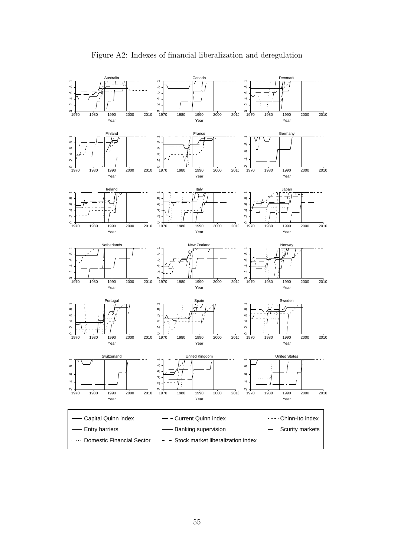

Figure A2: Indexes of financial liberalization and deregulation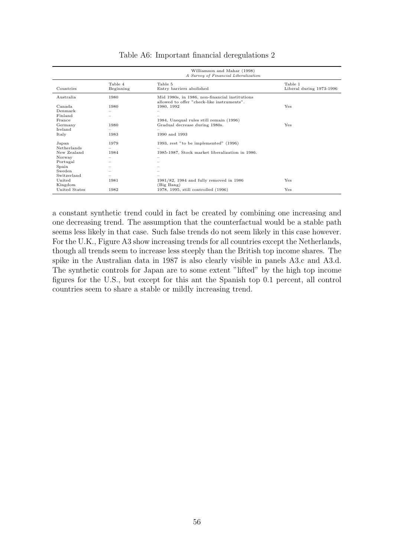|                    |                          | Williamson and Mahar (1998)<br>A Survey of Financial Liberalization                          |                                     |
|--------------------|--------------------------|----------------------------------------------------------------------------------------------|-------------------------------------|
| Countries          | Table 4<br>Beginning     | Table 5<br>Entry barriers abolished                                                          | Table 1<br>Liberal during 1973-1996 |
| Australia          | 1980                     | Mid 1980s, in 1986, non-financial institutions<br>allowed to offer "check-like instruments". |                                     |
| Canada             | 1980                     | 1980, 1992                                                                                   | Yes                                 |
| Denmark            |                          |                                                                                              |                                     |
| Finland            |                          |                                                                                              |                                     |
| France             |                          | 1984, Unequal rules still remain (1996)                                                      |                                     |
| Germany            | 1980                     | Gradual decrease during 1980s.                                                               | <b>Yes</b>                          |
| Ireland            |                          |                                                                                              |                                     |
| Italy              | 1983                     | 1990 and 1993                                                                                |                                     |
| Japan              | 1979                     | 1993, rest "to be implemented" (1996)                                                        |                                     |
| <b>Netherlands</b> | $\overline{\phantom{0}}$ |                                                                                              |                                     |
| New Zealand        | 1984                     | 1985-1987, Stock market liberalization in 1986.                                              |                                     |
| Norway             |                          | -                                                                                            |                                     |
| Portugal           |                          |                                                                                              |                                     |
| Spain              |                          |                                                                                              |                                     |
| Sweden             |                          |                                                                                              |                                     |
| Switzerland        | $\overline{\phantom{0}}$ |                                                                                              |                                     |
| United             | 1981                     | 1981/82, 1984 and fully removed in 1986                                                      | Yes                                 |
| Kingdom            |                          | (Big Bang)                                                                                   |                                     |
| United States      | 1982                     | 1978, 1995, still controlled (1996)                                                          | Yes                                 |

#### Table A6: Important financial deregulations 2

a constant synthetic trend could in fact be created by combining one increasing and one decreasing trend. The assumption that the counterfactual would be a stable path seems less likely in that case. Such false trends do not seem likely in this case however. For the U.K., Figure A3 show increasing trends for all countries except the Netherlands, though all trends seem to increase less steeply than the British top income shares. The spike in the Australian data in 1987 is also clearly visible in panels A3.c and A3.d. The synthetic controls for Japan are to some extent "lifted" by the high top income figures for the U.S., but except for this ant the Spanish top 0.1 percent, all control countries seem to share a stable or mildly increasing trend.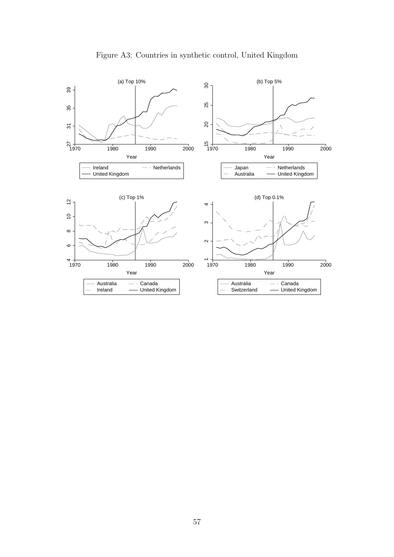

Figure A3: Countries in synthetic control, United Kingdom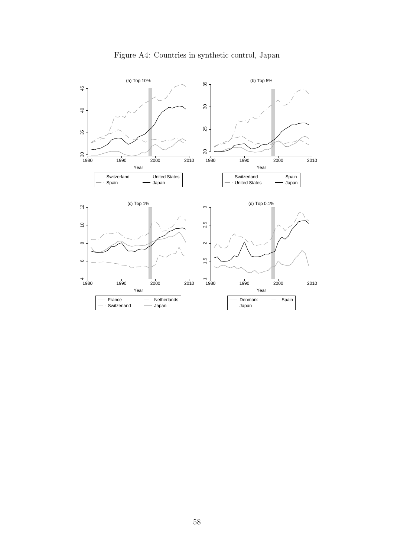

## Figure A4: Countries in synthetic control, Japan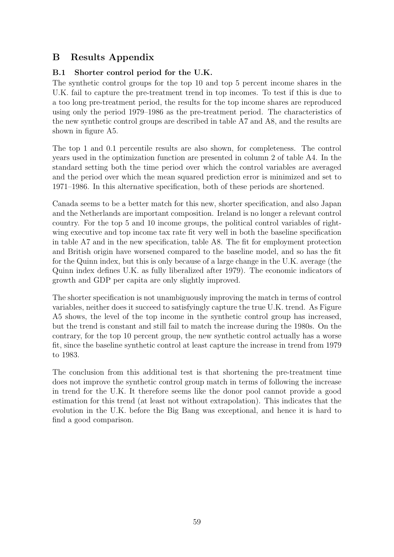# B Results Appendix

## B.1 Shorter control period for the U.K.

The synthetic control groups for the top 10 and top 5 percent income shares in the U.K. fail to capture the pre-treatment trend in top incomes. To test if this is due to a too long pre-treatment period, the results for the top income shares are reproduced using only the period 1979–1986 as the pre-treatment period. The characteristics of the new synthetic control groups are described in table A7 and A8, and the results are shown in figure A5.

The top 1 and 0.1 percentile results are also shown, for completeness. The control years used in the optimization function are presented in column 2 of table A4. In the standard setting both the time period over which the control variables are averaged and the period over which the mean squared prediction error is minimized and set to 1971–1986. In this alternative specification, both of these periods are shortened.

Canada seems to be a better match for this new, shorter specification, and also Japan and the Netherlands are important composition. Ireland is no longer a relevant control country. For the top 5 and 10 income groups, the political control variables of rightwing executive and top income tax rate fit very well in both the baseline specification in table A7 and in the new specification, table A8. The fit for employment protection and British origin have worsened compared to the baseline model, and so has the fit for the Quinn index, but this is only because of a large change in the U.K. average (the Quinn index defines U.K. as fully liberalized after 1979). The economic indicators of growth and GDP per capita are only slightly improved.

The shorter specification is not unambiguously improving the match in terms of control variables, neither does it succeed to satisfyingly capture the true U.K. trend. As Figure A5 shows, the level of the top income in the synthetic control group has increased, but the trend is constant and still fail to match the increase during the 1980s. On the contrary, for the top 10 percent group, the new synthetic control actually has a worse fit, since the baseline synthetic control at least capture the increase in trend from 1979 to 1983.

The conclusion from this additional test is that shortening the pre-treatment time does not improve the synthetic control group match in terms of following the increase in trend for the U.K. It therefore seems like the donor pool cannot provide a good estimation for this trend (at least not without extrapolation). This indicates that the evolution in the U.K. before the Big Bang was exceptional, and hence it is hard to find a good comparison.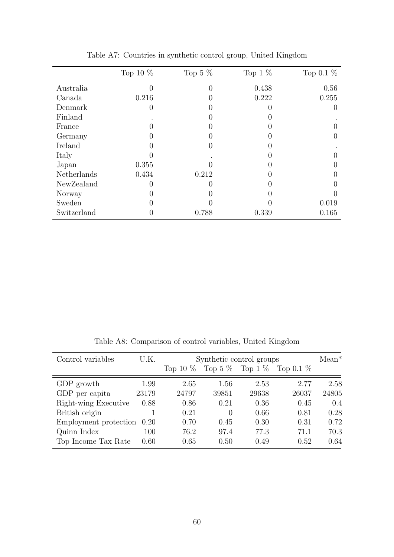|             | Top 10 $%$ | Top 5 $%$     | Top $1\%$ | Top $0.1\%$ |
|-------------|------------|---------------|-----------|-------------|
| Australia   |            | 0             | 0.438     | 0.56        |
| Canada      | 0.216      |               | 0.222     | 0.255       |
| Denmark     |            |               |           |             |
| Finland     |            |               |           |             |
| France      |            |               |           |             |
| Germany     |            |               |           |             |
| Ireland     |            | $\mathcal{O}$ |           |             |
| Italy       |            |               |           |             |
| Japan       | 0.355      |               |           |             |
| Netherlands | 0.434      | 0.212         |           |             |
| NewZealand  |            |               |           |             |
| Norway      |            |               |           |             |
| Sweden      |            |               |           | 0.019       |
| Switzerland |            | 0.788         | 0.339     | 0.165       |
|             |            |               |           |             |

Table A7: Countries in synthetic control group, United Kingdom

Table A8: Comparison of control variables, United Kingdom

| Control variables          | U.K.  |       |       | Synthetic control groups |                                                | $Mean*$ |
|----------------------------|-------|-------|-------|--------------------------|------------------------------------------------|---------|
|                            |       |       |       |                          | Top 10 $\%$ Top 5 $\%$ Top 1 $\%$ Top 0.1 $\%$ |         |
| GDP growth                 | 1.99  | 2.65  | 1.56  | 2.53                     | 2.77                                           | 2.58    |
| GDP per capita             | 23179 | 24797 | 39851 | 29638                    | 26037                                          | 24805   |
| Right-wing Executive       | 0.88  | 0.86  | 0.21  | 0.36                     | 0.45                                           | 0.4     |
| British origin             |       | 0.21  | 0     | 0.66                     | 0.81                                           | 0.28    |
| Employment protection 0.20 |       | 0.70  | 0.45  | 0.30                     | 0.31                                           | 0.72    |
| Quinn Index                | 100   | 76.2  | 97.4  | 77.3                     | 71.1                                           | 70.3    |
| Top Income Tax Rate        | 0.60  | 0.65  | 0.50  | 0.49                     | 0.52                                           | 0.64    |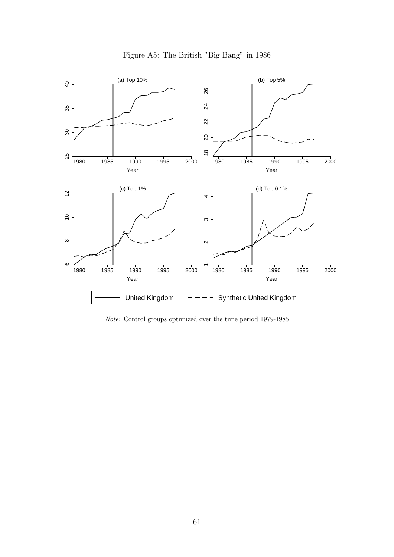



Note: Control groups optimized over the time period 1979-1985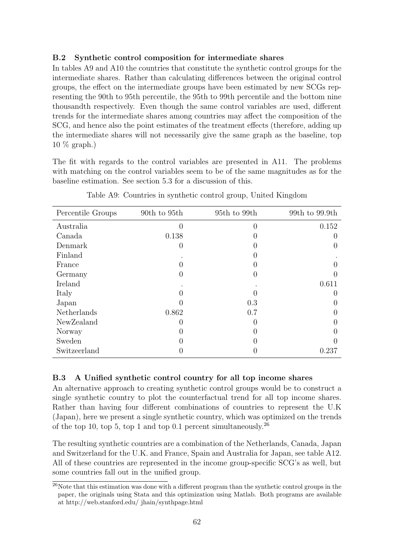### B.2 Synthetic control composition for intermediate shares

In tables A9 and A10 the countries that constitute the synthetic control groups for the intermediate shares. Rather than calculating differences between the original control groups, the effect on the intermediate groups have been estimated by new SCGs representing the 90th to 95th percentile, the 95th to 99th percentile and the bottom nine thousandth respectively. Even though the same control variables are used, different trends for the intermediate shares among countries may affect the composition of the SCG, and hence also the point estimates of the treatment effects (therefore, adding up the intermediate shares will not necessarily give the same graph as the baseline, top 10 % graph.)

The fit with regards to the control variables are presented in A11. The problems with matching on the control variables seem to be of the same magnitudes as for the baseline estimation. See section 5.3 for a discussion of this.

| Percentile Groups | 90th to 95th     | 95th to 99th   | 99th to 99.9th |
|-------------------|------------------|----------------|----------------|
| Australia         | $\left( \right)$ | $\overline{0}$ | 0.152          |
| Canada            | 0.138            | 0              |                |
| Denmark           | O                | 0              |                |
| Finland           |                  | 0              |                |
| France            |                  |                |                |
| Germany           | 0                | $\theta$       |                |
| Ireland           |                  |                | 0.611          |
| Italy             |                  |                |                |
| Japan             |                  | 0.3            |                |
| Netherlands       | 0.862            | 0.7            |                |
| NewZealand        | 0                | $\theta$       |                |
| Norway            |                  |                |                |
| Sweden            |                  |                |                |
| Switzeerland      |                  |                | 0.237          |

Table A9: Countries in synthetic control group, United Kingdom

### B.3 A Unified synthetic control country for all top income shares

An alternative approach to creating synthetic control groups would be to construct a single synthetic country to plot the counterfactual trend for all top income shares. Rather than having four different combinations of countries to represent the U.K (Japan), here we present a single synthetic country, which was optimized on the trends of the top 10, top 5, top 1 and top 0.1 percent simultaneously.<sup>26</sup>

The resulting synthetic countries are a combination of the Netherlands, Canada, Japan and Switzerland for the U.K. and France, Spain and Australia for Japan, see table A12. All of these countries are represented in the income group-specific SCG's as well, but some countries fall out in the unified group.

 $26$ Note that this estimation was done with a different program than the synthetic control groups in the paper, the originals using Stata and this optimization using Matlab. Both programs are available at http://web.stanford.edu/ jhain/synthpage.html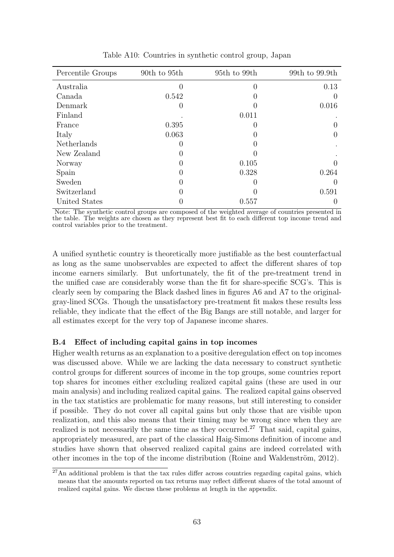| Percentile Groups | 90th to 95th | 95th to 99th     | 99th to 99.9th |
|-------------------|--------------|------------------|----------------|
| Australia         |              | $\theta$         | 0.13           |
| Canada            | 0.542        | $\left( \right)$ |                |
| Denmark           |              |                  | 0.016          |
| Finland           |              | 0.011            |                |
| France            | 0.395        | 0                |                |
| Italy             | 0.063        |                  |                |
| Netherlands       |              |                  |                |
| New Zealand       |              |                  |                |
| Norway            |              | 0.105            |                |
| Spain             |              | 0.328            | 0.264          |
| Sweden            |              |                  |                |
| Switzerland       |              |                  | 0.591          |
| United States     |              | 0.557            |                |

Table A10: Countries in synthetic control group, Japan

Note: The synthetic control groups are composed of the weighted average of countries presented in the table. The weights are chosen as they represent best fit to each different top income trend and control variables prior to the treatment.

A unified synthetic country is theoretically more justifiable as the best counterfactual as long as the same unobservables are expected to affect the different shares of top income earners similarly. But unfortunately, the fit of the pre-treatment trend in the unified case are considerably worse than the fit for share-specific SCG's. This is clearly seen by comparing the Black dashed lines in figures A6 and A7 to the originalgray-lined SCGs. Though the unsatisfactory pre-treatment fit makes these results less reliable, they indicate that the effect of the Big Bangs are still notable, and larger for all estimates except for the very top of Japanese income shares.

#### B.4 Effect of including capital gains in top incomes

Higher wealth returns as an explanation to a positive deregulation effect on top incomes was discussed above. While we are lacking the data necessary to construct synthetic control groups for different sources of income in the top groups, some countries report top shares for incomes either excluding realized capital gains (these are used in our main analysis) and including realized capital gains. The realized capital gains observed in the tax statistics are problematic for many reasons, but still interesting to consider if possible. They do not cover all capital gains but only those that are visible upon realization, and this also means that their timing may be wrong since when they are realized is not necessarily the same time as they occurred.<sup>27</sup> That said, capital gains, appropriately measured, are part of the classical Haig-Simons definition of income and studies have shown that observed realized capital gains are indeed correlated with other incomes in the top of the income distribution (Roine and Waldenström, 2012).

 $27$ An additional problem is that the tax rules differ across countries regarding capital gains, which means that the amounts reported on tax returns may reflect different shares of the total amount of realized capital gains. We discuss these problems at length in the appendix.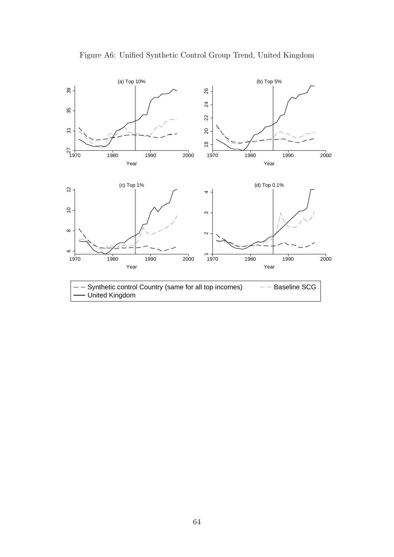

Figure A6: Unified Synthetic Control Group Trend, United Kingdom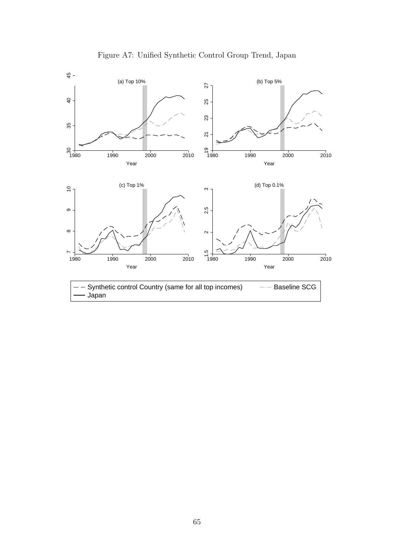

Figure A7: Unified Synthetic Control Group Trend, Japan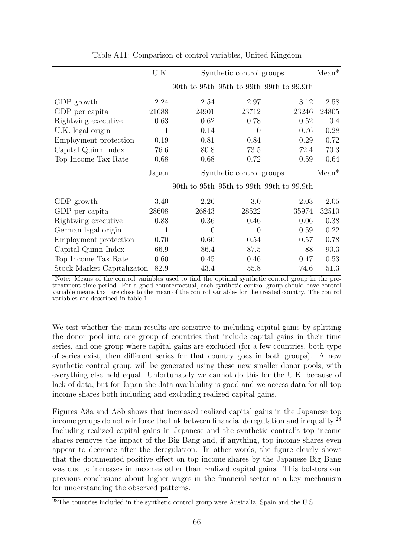|                            | U.K.  | Synthetic control groups |                          |                                          | $Mean*$ |
|----------------------------|-------|--------------------------|--------------------------|------------------------------------------|---------|
|                            |       |                          |                          | 90th to 95th 95th to 99th 99th to 99.9th |         |
| GDP growth                 | 2.24  | 2.54                     | 2.97                     | 3.12                                     | 2.58    |
| GDP per capita             | 21688 | 24901                    | 23712                    | 23246                                    | 24805   |
| Rightwing executive        | 0.63  | 0.62                     | 0.78                     | 0.52                                     | 0.4     |
| U.K. legal origin          | 1     | 0.14                     | $\Omega$                 | 0.76                                     | 0.28    |
| Employment protection      | 0.19  | 0.81                     | 0.84                     | 0.29                                     | 0.72    |
| Capital Quinn Index        | 76.6  | 80.8                     | 73.5                     | 72.4                                     | 70.3    |
| Top Income Tax Rate        | 0.68  | 0.68                     | 0.72                     | 0.59                                     | 0.64    |
|                            | Japan |                          | Synthetic control groups |                                          | $Mean*$ |
|                            |       |                          |                          | 90th to 95th 95th to 99th 99th to 99.9th |         |
| GDP growth                 | 3.40  | 2.26                     | 3.0                      | 2.03                                     | 2.05    |
| GDP per capita             | 28608 | 26843                    | 28522                    | 35974                                    | 32510   |
| Rightwing executive        | 0.88  | 0.36                     | 0.46                     | 0.06                                     | 0.38    |
| German legal origin        | 1     | 0                        | $\Omega$                 | 0.59                                     | 0.22    |
| Employment protection      | 0.70  | 0.60                     | 0.54                     | 0.57                                     | 0.78    |
| Capital Quinn Index        | 66.9  | 86.4                     | 87.5                     | 88                                       | 90.3    |
| Top Income Tax Rate        | 0.60  | 0.45                     | 0.46                     | 0.47                                     | 0.53    |
| Stock Market Capitalizaton | 82.9  | 43.4                     | 55.8                     | 74.6                                     | 51.3    |

Table A11: Comparison of control variables, United Kingdom

Note: Means of the control variables used to find the optimal synthetic control group in the pretreatment time period. For a good counterfactual, each synthetic control group should have control variable means that are close to the mean of the control variables for the treated country. The control variables are described in table 1.

We test whether the main results are sensitive to including capital gains by splitting the donor pool into one group of countries that include capital gains in their time series, and one group where capital gains are excluded (for a few countries, both type of series exist, then different series for that country goes in both groups). A new synthetic control group will be generated using these new smaller donor pools, with everything else held equal. Unfortunately we cannot do this for the U.K. because of lack of data, but for Japan the data availability is good and we access data for all top income shares both including and excluding realized capital gains.

Figures A8a and A8b shows that increased realized capital gains in the Japanese top income groups do not reinforce the link between financial deregulation and inequality.<sup>28</sup> Including realized capital gains in Japanese and the synthetic control's top income shares removes the impact of the Big Bang and, if anything, top income shares even appear to decrease after the deregulation. In other words, the figure clearly shows that the documented positive effect on top income shares by the Japanese Big Bang was due to increases in incomes other than realized capital gains. This bolsters our previous conclusions about higher wages in the financial sector as a key mechanism for understanding the observed patterns.

 $^{28}$ The countries included in the synthetic control group were Australia, Spain and the U.S.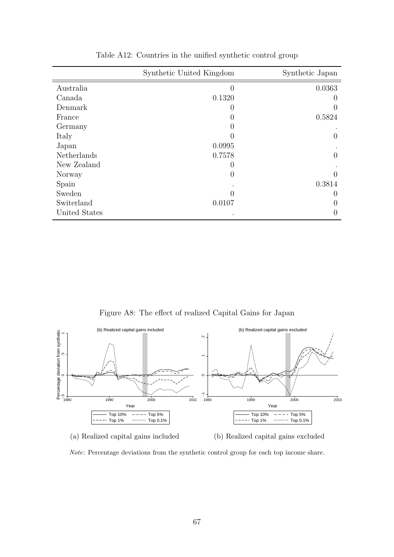|               | Synthetic United Kingdom | Synthetic Japan  |
|---------------|--------------------------|------------------|
| Australia     | $\overline{0}$           | 0.0363           |
| Canada        | 0.1320                   |                  |
| Denmark       | $\left( \right)$         |                  |
| France        | 0                        | 0.5824           |
| Germany       | 0                        |                  |
| Italy         | 0                        | $\mathcal{O}$    |
| Japan         | 0.0995                   |                  |
| Netherlands   | 0.7578                   | 0                |
| New Zealand   | 0                        |                  |
| Norway        | $\boldsymbol{0}$         |                  |
| Spain         |                          | 0.3814           |
| Sweden        | 0                        | $\left( \right)$ |
| Switerland    | 0.0107                   |                  |
| United States |                          |                  |

Table A12: Countries in the unified synthetic control group

Figure A8: The effect of realized Capital Gains for Japan





Note: Percentage deviations from the synthetic control group for each top income share.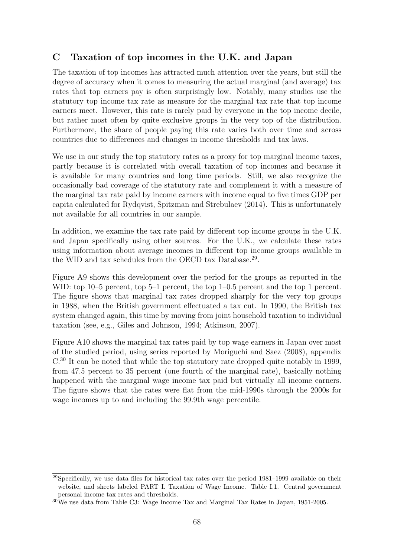# C Taxation of top incomes in the U.K. and Japan

The taxation of top incomes has attracted much attention over the years, but still the degree of accuracy when it comes to measuring the actual marginal (and average) tax rates that top earners pay is often surprisingly low. Notably, many studies use the statutory top income tax rate as measure for the marginal tax rate that top income earners meet. However, this rate is rarely paid by everyone in the top income decile, but rather most often by quite exclusive groups in the very top of the distribution. Furthermore, the share of people paying this rate varies both over time and across countries due to differences and changes in income thresholds and tax laws.

We use in our study the top statutory rates as a proxy for top marginal income taxes, partly because it is correlated with overall taxation of top incomes and because it is available for many countries and long time periods. Still, we also recognize the occasionally bad coverage of the statutory rate and complement it with a measure of the marginal tax rate paid by income earners with income equal to five times GDP per capita calculated for Rydqvist, Spitzman and Strebulaev (2014). This is unfortunately not available for all countries in our sample.

In addition, we examine the tax rate paid by different top income groups in the U.K. and Japan specifically using other sources. For the U.K., we calculate these rates using information about average incomes in different top income groups available in the WID and tax schedules from the OECD tax Database.<sup>29</sup>.

Figure A9 shows this development over the period for the groups as reported in the WID: top 10–5 percent, top 5–1 percent, the top 1–0.5 percent and the top 1 percent. The figure shows that marginal tax rates dropped sharply for the very top groups in 1988, when the British government effectuated a tax cut. In 1990, the British tax system changed again, this time by moving from joint household taxation to individual taxation (see, e.g., Giles and Johnson, 1994; Atkinson, 2007).

Figure A10 shows the marginal tax rates paid by top wage earners in Japan over most of the studied period, using series reported by Moriguchi and Saez (2008), appendix C.<sup>30</sup> It can be noted that while the top statutory rate dropped quite notably in 1999, from 47.5 percent to 35 percent (one fourth of the marginal rate), basically nothing happened with the marginal wage income tax paid but virtually all income earners. The figure shows that the rates were flat from the mid-1990s through the 2000s for wage incomes up to and including the 99.9th wage percentile.

 $^{29}$ Specifically, we use data files for historical tax rates over the period 1981–1999 available on their website, and sheets labeled PART I. Taxation of Wage Income. Table I.1. Central government personal income tax rates and thresholds.

<sup>30</sup>We use data from Table C3: Wage Income Tax and Marginal Tax Rates in Japan, 1951-2005.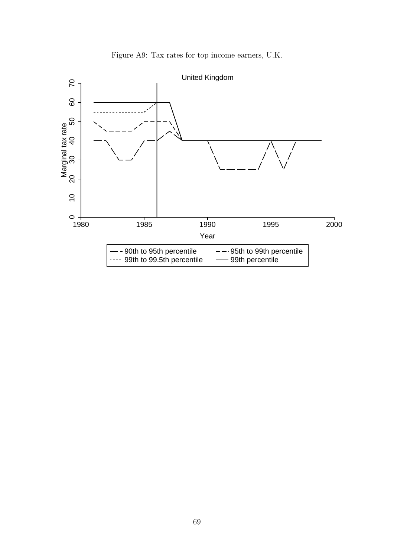

Figure A9: Tax rates for top income earners, U.K.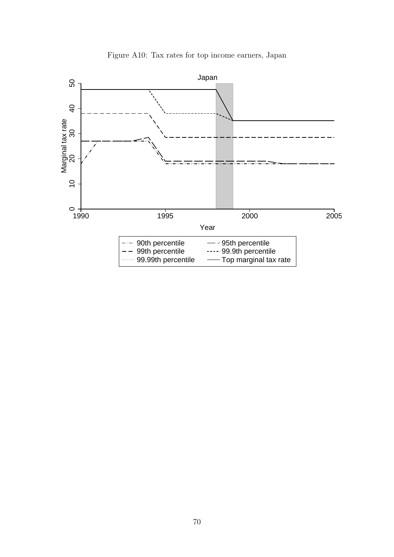

Figure A10: Tax rates for top income earners, Japan